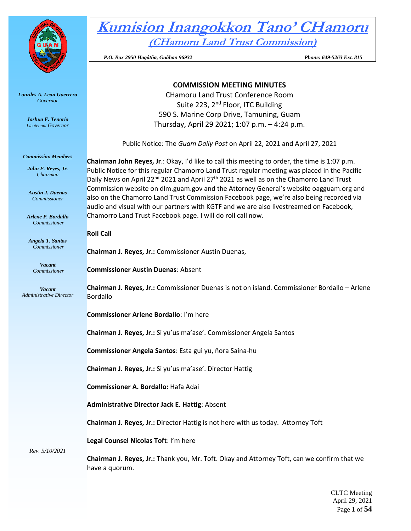

*Lourdes A. Leon Guerrero Governor* 

> *Joshua F. Tenorio Lieutenant Governor*

*Commission Members*

*John F. Reyes, Jr. Chairman*

*Austin J. Duenas Commissioner*

*Arlene P. Bordallo Commissioner*

*Angela T. Santos Commissioner*

> *Vacant Commissioner*

*Vacant Administrative Director* **Kumision Inangokkon Tano' CHamoru (CHamoru Land Trust Commission)**

 *P.O. Box 2950 Hagåtña, Guåhan 96932 Phone: 649-5263 Ext. 815* 

# **COMMISSION MEETING MINUTES**

CHamoru Land Trust Conference Room Suite 223, 2<sup>nd</sup> Floor, ITC Building 590 S. Marine Corp Drive, Tamuning, Guam Thursday, April 29 2021; 1:07 p.m. – 4:24 p.m.

Public Notice: The *Guam Daily Post* on April 22, 2021 and April 27, 2021

**Chairman John Reyes, Jr**.: Okay, I'd like to call this meeting to order, the time is 1:07 p.m. Public Notice for this regular Chamorro Land Trust regular meeting was placed in the Pacific Daily News on April 22<sup>nd</sup> 2021 and April 27<sup>th</sup> 2021 as well as on the Chamorro Land Trust Commission website on dlm.guam.gov and the Attorney General's website oagguam.org and also on the Chamorro Land Trust Commission Facebook page, we're also being recorded via audio and visual with our partners with KGTF and we are also livestreamed on Facebook, Chamorro Land Trust Facebook page. I will do roll call now.

**Roll Call**

**Chairman J. Reyes, Jr.:** Commissioner Austin Duenas,

**Commissioner Austin Duenas**: Absent

**Chairman J. Reyes, Jr.:** Commissioner Duenas is not on island. Commissioner Bordallo – Arlene Bordallo

**Commissioner Arlene Bordallo**: I'm here

**Chairman J. Reyes, Jr.:** Si yu'us ma'ase'. Commissioner Angela Santos

**Commissioner Angela Santos**: Esta gui yu, ñora Saina-hu

**Chairman J. Reyes, Jr.:** Si yu'us ma'ase'. Director Hattig

**Commissioner A. Bordallo:** Hafa Adai

**Administrative Director Jack E. Hattig**: Absent

**Chairman J. Reyes, Jr.:** Director Hattig is not here with us today. Attorney Toft

**Legal Counsel Nicolas Toft**: I'm here

*Rev. 5/10/2021*

**Chairman J. Reyes, Jr.:** Thank you, Mr. Toft. Okay and Attorney Toft, can we confirm that we have a quorum.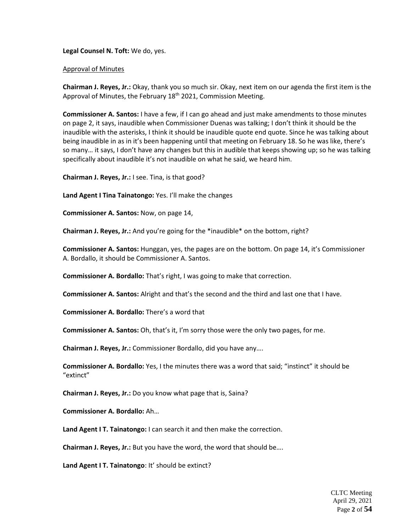# **Legal Counsel N. Toft:** We do, yes.

### Approval of Minutes

**Chairman J. Reyes, Jr.:** Okay, thank you so much sir. Okay, next item on our agenda the first item is the Approval of Minutes, the February 18<sup>th</sup> 2021, Commission Meeting.

**Commissioner A. Santos:** I have a few, if I can go ahead and just make amendments to those minutes on page 2, it says, inaudible when Commissioner Duenas was talking; I don't think it should be the inaudible with the asterisks, I think it should be inaudible quote end quote. Since he was talking about being inaudible in as in it's been happening until that meeting on February 18. So he was like, there's so many… it says, I don't have any changes but this in audible that keeps showing up; so he was talking specifically about inaudible it's not inaudible on what he said, we heard him.

**Chairman J. Reyes, Jr.:** I see. Tina, is that good?

**Land Agent I Tina Tainatongo:** Yes. I'll make the changes

**Commissioner A. Santos:** Now, on page 14,

**Chairman J. Reyes, Jr.:** And you're going for the \*inaudible\* on the bottom, right?

**Commissioner A. Santos:** Hunggan, yes, the pages are on the bottom. On page 14, it's Commissioner A. Bordallo, it should be Commissioner A. Santos.

**Commissioner A. Bordallo:** That's right, I was going to make that correction.

**Commissioner A. Santos:** Alright and that's the second and the third and last one that I have.

**Commissioner A. Bordallo:** There's a word that

**Commissioner A. Santos:** Oh, that's it, I'm sorry those were the only two pages, for me.

**Chairman J. Reyes, Jr.:** Commissioner Bordallo, did you have any….

**Commissioner A. Bordallo:** Yes, I the minutes there was a word that said; "instinct" it should be "extinct"

**Chairman J. Reyes, Jr.:** Do you know what page that is, Saina?

**Commissioner A. Bordallo:** Ah…

**Land Agent I T. Tainatongo:** I can search it and then make the correction.

**Chairman J. Reyes, Jr.:** But you have the word, the word that should be….

**Land Agent I T. Tainatongo**: It' should be extinct?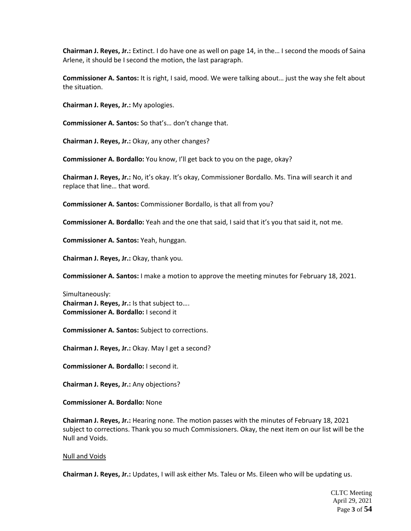**Chairman J. Reyes, Jr.:** Extinct. I do have one as well on page 14, in the… I second the moods of Saina Arlene, it should be I second the motion, the last paragraph.

**Commissioner A. Santos:** It is right, I said, mood. We were talking about… just the way she felt about the situation.

**Chairman J. Reyes, Jr.:** My apologies.

**Commissioner A. Santos:** So that's… don't change that.

**Chairman J. Reyes, Jr.:** Okay, any other changes?

**Commissioner A. Bordallo:** You know, I'll get back to you on the page, okay?

**Chairman J. Reyes, Jr.:** No, it's okay. It's okay, Commissioner Bordallo. Ms. Tina will search it and replace that line… that word.

**Commissioner A. Santos:** Commissioner Bordallo, is that all from you?

**Commissioner A. Bordallo:** Yeah and the one that said, I said that it's you that said it, not me.

**Commissioner A. Santos:** Yeah, hunggan.

**Chairman J. Reyes, Jr.:** Okay, thank you.

**Commissioner A. Santos:** I make a motion to approve the meeting minutes for February 18, 2021.

Simultaneously: **Chairman J. Reyes, Jr.:** Is that subject to…. **Commissioner A. Bordallo:** I second it

**Commissioner A. Santos:** Subject to corrections.

**Chairman J. Reyes, Jr.:** Okay. May I get a second?

**Commissioner A. Bordallo:** I second it.

**Chairman J. Reyes, Jr.:** Any objections?

**Commissioner A. Bordallo:** None

**Chairman J. Reyes, Jr.:** Hearing none. The motion passes with the minutes of February 18, 2021 subject to corrections. Thank you so much Commissioners. Okay, the next item on our list will be the Null and Voids.

#### Null and Voids

**Chairman J. Reyes, Jr.:** Updates, I will ask either Ms. Taleu or Ms. Eileen who will be updating us.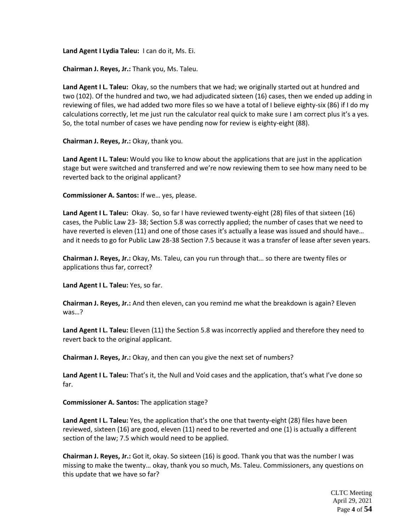**Land Agent I Lydia Taleu:** I can do it, Ms. Ei.

**Chairman J. Reyes, Jr.:** Thank you, Ms. Taleu.

**Land Agent I L. Taleu:** Okay, so the numbers that we had; we originally started out at hundred and two (102). Of the hundred and two, we had adjudicated sixteen (16) cases, then we ended up adding in reviewing of files, we had added two more files so we have a total of I believe eighty-six (86) if I do my calculations correctly, let me just run the calculator real quick to make sure I am correct plus it's a yes. So, the total number of cases we have pending now for review is eighty-eight (88).

**Chairman J. Reyes, Jr.:** Okay, thank you.

**Land Agent I L. Taleu:** Would you like to know about the applications that are just in the application stage but were switched and transferred and we're now reviewing them to see how many need to be reverted back to the original applicant?

**Commissioner A. Santos:** If we… yes, please.

**Land Agent I L. Taleu:** Okay. So, so far I have reviewed twenty-eight (28) files of that sixteen (16) cases, the Public Law 23- 38; Section 5.8 was correctly applied; the number of cases that we need to have reverted is eleven (11) and one of those cases it's actually a lease was issued and should have... and it needs to go for Public Law 28-38 Section 7.5 because it was a transfer of lease after seven years.

**Chairman J. Reyes, Jr.:** Okay, Ms. Taleu, can you run through that… so there are twenty files or applications thus far, correct?

**Land Agent I L. Taleu:** Yes, so far.

**Chairman J. Reyes, Jr.:** And then eleven, can you remind me what the breakdown is again? Eleven was…?

**Land Agent I L. Taleu:** Eleven (11) the Section 5.8 was incorrectly applied and therefore they need to revert back to the original applicant.

**Chairman J. Reyes, Jr.:** Okay, and then can you give the next set of numbers?

**Land Agent I L. Taleu:** That's it, the Null and Void cases and the application, that's what I've done so far.

**Commissioner A. Santos:** The application stage?

**Land Agent I L. Taleu:** Yes, the application that's the one that twenty-eight (28) files have been reviewed, sixteen (16) are good, eleven (11) need to be reverted and one (1) is actually a different section of the law; 7.5 which would need to be applied.

**Chairman J. Reyes, Jr.:** Got it, okay. So sixteen (16) is good. Thank you that was the number I was missing to make the twenty… okay, thank you so much, Ms. Taleu. Commissioners, any questions on this update that we have so far?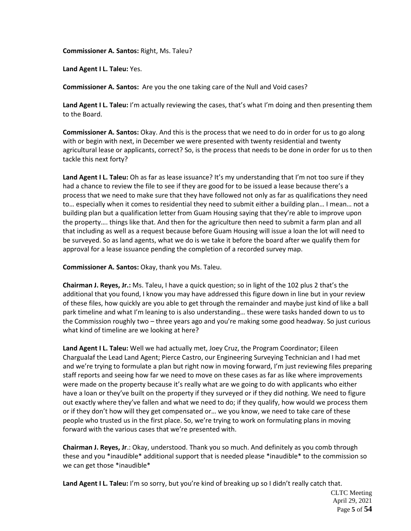**Commissioner A. Santos:** Right, Ms. Taleu?

**Land Agent I L. Taleu:** Yes.

**Commissioner A. Santos:** Are you the one taking care of the Null and Void cases?

**Land Agent I L. Taleu:** I'm actually reviewing the cases, that's what I'm doing and then presenting them to the Board.

**Commissioner A. Santos:** Okay. And this is the process that we need to do in order for us to go along with or begin with next, in December we were presented with twenty residential and twenty agricultural lease or applicants, correct? So, is the process that needs to be done in order for us to then tackle this next forty?

Land Agent I L. Taleu: Oh as far as lease issuance? It's my understanding that I'm not too sure if they had a chance to review the file to see if they are good for to be issued a lease because there's a process that we need to make sure that they have followed not only as far as qualifications they need to… especially when it comes to residential they need to submit either a building plan… I mean… not a building plan but a qualification letter from Guam Housing saying that they're able to improve upon the property…. things like that. And then for the agriculture then need to submit a farm plan and all that including as well as a request because before Guam Housing will issue a loan the lot will need to be surveyed. So as land agents, what we do is we take it before the board after we qualify them for approval for a lease issuance pending the completion of a recorded survey map.

**Commissioner A. Santos:** Okay, thank you Ms. Taleu.

**Chairman J. Reyes, Jr.:** Ms. Taleu, I have a quick question; so in light of the 102 plus 2 that's the additional that you found, I know you may have addressed this figure down in line but in your review of these files, how quickly are you able to get through the remainder and maybe just kind of like a ball park timeline and what I'm leaning to is also understanding… these were tasks handed down to us to the Commission roughly two – three years ago and you're making some good headway. So just curious what kind of timeline are we looking at here?

**Land Agent I L. Taleu:** Well we had actually met, Joey Cruz, the Program Coordinator; Eileen Chargualaf the Lead Land Agent; Pierce Castro, our Engineering Surveying Technician and I had met and we're trying to formulate a plan but right now in moving forward, I'm just reviewing files preparing staff reports and seeing how far we need to move on these cases as far as like where improvements were made on the property because it's really what are we going to do with applicants who either have a loan or they've built on the property if they surveyed or if they did nothing. We need to figure out exactly where they've fallen and what we need to do; if they qualify, how would we process them or if they don't how will they get compensated or… we you know, we need to take care of these people who trusted us in the first place. So, we're trying to work on formulating plans in moving forward with the various cases that we're presented with.

**Chairman J. Reyes, Jr**.: Okay, understood. Thank you so much. And definitely as you comb through these and you \*inaudible\* additional support that is needed please \*inaudible\* to the commission so we can get those \*inaudible\*

**Land Agent I L. Taleu:** I'm so sorry, but you're kind of breaking up so I didn't really catch that.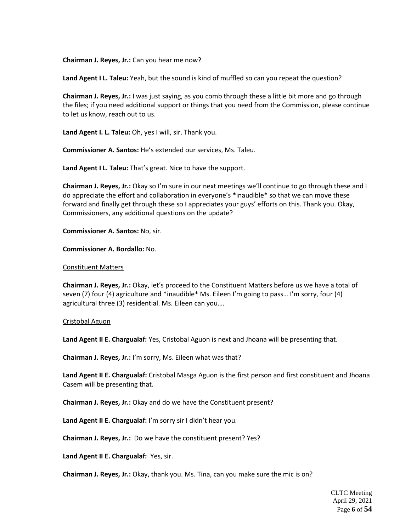**Chairman J. Reyes, Jr.:** Can you hear me now?

**Land Agent I L. Taleu:** Yeah, but the sound is kind of muffled so can you repeat the question?

**Chairman J. Reyes, Jr.:** I was just saying, as you comb through these a little bit more and go through the files; if you need additional support or things that you need from the Commission, please continue to let us know, reach out to us.

**Land Agent I. L. Taleu:** Oh, yes I will, sir. Thank you.

**Commissioner A. Santos:** He's extended our services, Ms. Taleu.

**Land Agent I L. Taleu:** That's great. Nice to have the support.

**Chairman J. Reyes, Jr.:** Okay so I'm sure in our next meetings we'll continue to go through these and I do appreciate the effort and collaboration in everyone's \*inaudible\* so that we can move these forward and finally get through these so I appreciates your guys' efforts on this. Thank you. Okay, Commissioners, any additional questions on the update?

**Commissioner A. Santos:** No, sir.

**Commissioner A. Bordallo:** No.

#### Constituent Matters

**Chairman J. Reyes, Jr.:** Okay, let's proceed to the Constituent Matters before us we have a total of seven (7) four (4) agriculture and \*inaudible\* Ms. Eileen I'm going to pass… I'm sorry, four (4) agricultural three (3) residential. Ms. Eileen can you….

#### Cristobal Aguon

**Land Agent II E. Chargualaf:** Yes, Cristobal Aguon is next and Jhoana will be presenting that.

**Chairman J. Reyes, Jr.:** I'm sorry, Ms. Eileen what was that?

**Land Agent II E. Chargualaf:** Cristobal Masga Aguon is the first person and first constituent and Jhoana Casem will be presenting that.

**Chairman J. Reyes, Jr.:** Okay and do we have the Constituent present?

**Land Agent II E. Chargualaf:** I'm sorry sir I didn't hear you.

**Chairman J. Reyes, Jr.:** Do we have the constituent present? Yes?

**Land Agent II E. Chargualaf:** Yes, sir.

**Chairman J. Reyes, Jr.:** Okay, thank you. Ms. Tina, can you make sure the mic is on?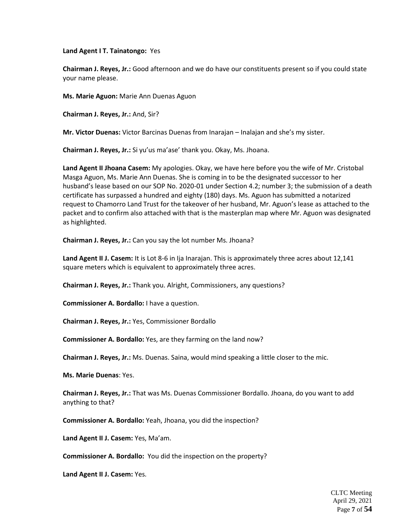**Land Agent I T. Tainatongo:** Yes

**Chairman J. Reyes, Jr.:** Good afternoon and we do have our constituents present so if you could state your name please.

**Ms. Marie Aguon:** Marie Ann Duenas Aguon

**Chairman J. Reyes, Jr.:** And, Sir?

**Mr. Victor Duenas:** Victor Barcinas Duenas from Inarajan – Inalajan and she's my sister.

**Chairman J. Reyes, Jr.:** Si yu'us ma'ase' thank you. Okay, Ms. Jhoana.

**Land Agent II Jhoana Casem:** My apologies. Okay, we have here before you the wife of Mr. Cristobal Masga Aguon, Ms. Marie Ann Duenas. She is coming in to be the designated successor to her husband's lease based on our SOP No. 2020-01 under Section 4.2; number 3; the submission of a death certificate has surpassed a hundred and eighty (180) days. Ms. Aguon has submitted a notarized request to Chamorro Land Trust for the takeover of her husband, Mr. Aguon's lease as attached to the packet and to confirm also attached with that is the masterplan map where Mr. Aguon was designated as highlighted.

**Chairman J. Reyes, Jr.:** Can you say the lot number Ms. Jhoana?

**Land Agent II J. Casem:** It is Lot 8-6 in Ija Inarajan. This is approximately three acres about 12,141 square meters which is equivalent to approximately three acres.

**Chairman J. Reyes, Jr.:** Thank you. Alright, Commissioners, any questions?

**Commissioner A. Bordallo:** I have a question.

**Chairman J. Reyes, Jr.:** Yes, Commissioner Bordallo

**Commissioner A. Bordallo:** Yes, are they farming on the land now?

**Chairman J. Reyes, Jr.:** Ms. Duenas. Saina, would mind speaking a little closer to the mic.

**Ms. Marie Duenas**: Yes.

**Chairman J. Reyes, Jr.:** That was Ms. Duenas Commissioner Bordallo. Jhoana, do you want to add anything to that?

**Commissioner A. Bordallo:** Yeah, Jhoana, you did the inspection?

**Land Agent II J. Casem:** Yes, Ma'am.

**Commissioner A. Bordallo:** You did the inspection on the property?

**Land Agent II J. Casem:** Yes.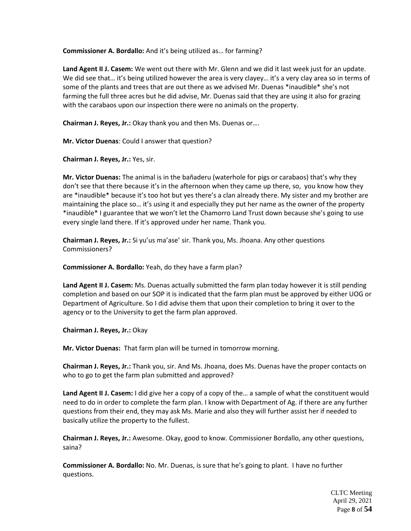**Commissioner A. Bordallo:** And it's being utilized as… for farming?

**Land Agent II J. Casem:** We went out there with Mr. Glenn and we did it last week just for an update. We did see that... it's being utilized however the area is very clayey... it's a very clay area so in terms of some of the plants and trees that are out there as we advised Mr. Duenas \*inaudible\* she's not farming the full three acres but he did advise, Mr. Duenas said that they are using it also for grazing with the carabaos upon our inspection there were no animals on the property.

**Chairman J. Reyes, Jr.:** Okay thank you and then Ms. Duenas or….

**Mr. Victor Duenas**: Could I answer that question?

**Chairman J. Reyes, Jr.:** Yes, sir.

**Mr. Victor Duenas:** The animal is in the bañaderu (waterhole for pigs or carabaos) that's why they don't see that there because it's in the afternoon when they came up there, so, you know how they are \*inaudible\* because it's too hot but yes there's a clan already there. My sister and my brother are maintaining the place so… it's using it and especially they put her name as the owner of the property \*inaudible\* I guarantee that we won't let the Chamorro Land Trust down because she's going to use every single land there. If it's approved under her name. Thank you.

**Chairman J. Reyes, Jr.:** Si yu'us ma'ase' sir. Thank you, Ms. Jhoana. Any other questions Commissioners?

**Commissioner A. Bordallo:** Yeah, do they have a farm plan?

**Land Agent II J. Casem:** Ms. Duenas actually submitted the farm plan today however it is still pending completion and based on our SOP it is indicated that the farm plan must be approved by either UOG or Department of Agriculture. So I did advise them that upon their completion to bring it over to the agency or to the University to get the farm plan approved.

**Chairman J. Reyes, Jr.:** Okay

**Mr. Victor Duenas:** That farm plan will be turned in tomorrow morning.

**Chairman J. Reyes, Jr.:** Thank you, sir. And Ms. Jhoana, does Ms. Duenas have the proper contacts on who to go to get the farm plan submitted and approved?

**Land Agent II J. Casem:** I did give her a copy of a copy of the… a sample of what the constituent would need to do in order to complete the farm plan. I know with Department of Ag. if there are any further questions from their end, they may ask Ms. Marie and also they will further assist her if needed to basically utilize the property to the fullest.

**Chairman J. Reyes, Jr.:** Awesome. Okay, good to know. Commissioner Bordallo, any other questions, saina?

**Commissioner A. Bordallo:** No. Mr. Duenas, is sure that he's going to plant. I have no further questions.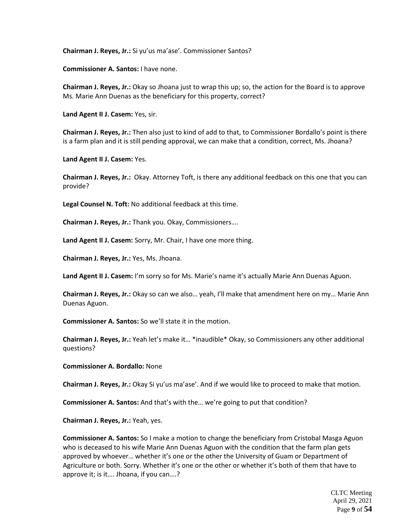**Chairman J. Reyes, Jr.:** Si yu'us ma'ase'. Commissioner Santos?

**Commissioner A. Santos:** I have none.

**Chairman J. Reyes, Jr.:** Okay so Jhoana just to wrap this up; so, the action for the Board is to approve Ms. Marie Ann Duenas as the beneficiary for this property, correct?

**Land Agent II J. Casem:** Yes, sir.

**Chairman J. Reyes, Jr.:** Then also just to kind of add to that, to Commissioner Bordallo's point is there is a farm plan and it is still pending approval, we can make that a condition, correct, Ms. Jhoana?

**Land Agent II J. Casem:** Yes.

**Chairman J. Reyes, Jr.:** Okay. Attorney Toft, is there any additional feedback on this one that you can provide?

**Legal Counsel N. Toft:** No additional feedback at this time.

**Chairman J. Reyes, Jr.:** Thank you. Okay, Commissioners….

**Land Agent II J. Casem:** Sorry, Mr. Chair, I have one more thing.

**Chairman J. Reyes, Jr.:** Yes, Ms. Jhoana.

**Land Agent II J. Casem:** I'm sorry so for Ms. Marie's name it's actually Marie Ann Duenas Aguon.

**Chairman J. Reyes, Jr.:** Okay so can we also… yeah, I'll make that amendment here on my… Marie Ann Duenas Aguon.

**Commissioner A. Santos:** So we'll state it in the motion.

**Chairman J. Reyes, Jr.:** Yeah let's make it… \*inaudible\* Okay, so Commissioners any other additional questions?

**Commissioner A. Bordallo:** None

**Chairman J. Reyes, Jr.:** Okay Si yu'us ma'ase'. And if we would like to proceed to make that motion.

**Commissioner A. Santos:** And that's with the… we're going to put that condition?

**Chairman J. Reyes, Jr.:** Yeah, yes.

**Commissioner A. Santos:** So I make a motion to change the beneficiary from Cristobal Masga Aguon who is deceased to his wife Marie Ann Duenas Aguon with the condition that the farm plan gets approved by whoever… whether it's one or the other the University of Guam or Department of Agriculture or both. Sorry. Whether it's one or the other or whether it's both of them that have to approve it; is it…. Jhoana, if you can….?

> CLTC Meeting April 29, 2021 Page **9** of **54**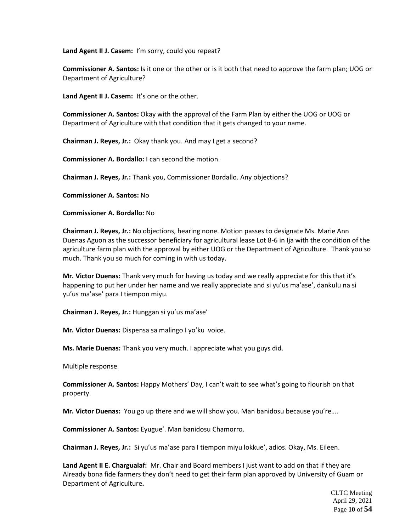**Land Agent II J. Casem:** I'm sorry, could you repeat?

**Commissioner A. Santos:** Is it one or the other or is it both that need to approve the farm plan; UOG or Department of Agriculture?

Land Agent II J. Casem: It's one or the other.

**Commissioner A. Santos:** Okay with the approval of the Farm Plan by either the UOG or UOG or Department of Agriculture with that condition that it gets changed to your name.

**Chairman J. Reyes, Jr.:** Okay thank you. And may I get a second?

**Commissioner A. Bordallo:** I can second the motion.

**Chairman J. Reyes, Jr.:** Thank you, Commissioner Bordallo. Any objections?

**Commissioner A. Santos:** No

**Commissioner A. Bordallo:** No

**Chairman J. Reyes, Jr.:** No objections, hearing none. Motion passes to designate Ms. Marie Ann Duenas Aguon as the successor beneficiary for agricultural lease Lot 8-6 in Ija with the condition of the agriculture farm plan with the approval by either UOG or the Department of Agriculture. Thank you so much. Thank you so much for coming in with us today.

**Mr. Victor Duenas:** Thank very much for having us today and we really appreciate for this that it's happening to put her under her name and we really appreciate and si yu'us ma'ase', dankulu na si yu'us ma'ase' para I tiempon miyu.

**Chairman J. Reyes, Jr.:** Hunggan si yu'us ma'ase'

**Mr. Victor Duenas:** Dispensa sa malingo I yo'ku voice.

**Ms. Marie Duenas:** Thank you very much. I appreciate what you guys did.

Multiple response

**Commissioner A. Santos:** Happy Mothers' Day, I can't wait to see what's going to flourish on that property.

**Mr. Victor Duenas:** You go up there and we will show you. Man banidosu because you're….

**Commissioner A. Santos:** Eyugue'. Man banidosu Chamorro.

**Chairman J. Reyes, Jr.:** Si yu'us ma'ase para I tiempon miyu lokkue', adios. Okay, Ms. Eileen.

**Land Agent II E. Chargualaf:** Mr. Chair and Board members I just want to add on that if they are Already bona fide farmers they don't need to get their farm plan approved by University of Guam or Department of Agriculture**.**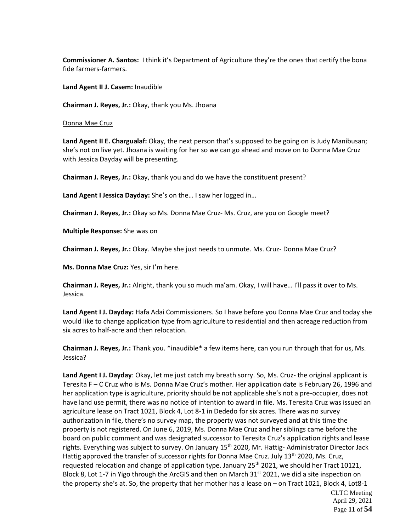**Commissioner A. Santos:** I think it's Department of Agriculture they're the ones that certify the bona fide farmers-farmers.

**Land Agent II J. Casem:** Inaudible

**Chairman J. Reyes, Jr.:** Okay, thank you Ms. Jhoana

Donna Mae Cruz

**Land Agent II E. Chargualaf:** Okay, the next person that's supposed to be going on is Judy Manibusan; she's not on live yet. Jhoana is waiting for her so we can go ahead and move on to Donna Mae Cruz with Jessica Dayday will be presenting.

**Chairman J. Reyes, Jr.:** Okay, thank you and do we have the constituent present?

**Land Agent I Jessica Dayday:** She's on the… I saw her logged in…

**Chairman J. Reyes, Jr.:** Okay so Ms. Donna Mae Cruz- Ms. Cruz, are you on Google meet?

**Multiple Response:** She was on

**Chairman J. Reyes, Jr.:** Okay. Maybe she just needs to unmute. Ms. Cruz- Donna Mae Cruz?

**Ms. Donna Mae Cruz:** Yes, sir I'm here.

**Chairman J. Reyes, Jr.:** Alright, thank you so much ma'am. Okay, I will have… I'll pass it over to Ms. Jessica.

**Land Agent I J. Dayday:** Hafa Adai Commissioners. So I have before you Donna Mae Cruz and today she would like to change application type from agriculture to residential and then acreage reduction from six acres to half-acre and then relocation.

**Chairman J. Reyes, Jr.:** Thank you. \*inaudible\* a few items here, can you run through that for us, Ms. Jessica?

**Land Agent I J. Dayday**: Okay, let me just catch my breath sorry. So, Ms. Cruz- the original applicant is Teresita F – C Cruz who is Ms. Donna Mae Cruz's mother. Her application date is February 26, 1996 and her application type is agriculture, priority should be not applicable she's not a pre-occupier, does not have land use permit, there was no notice of intention to award in file. Ms. Teresita Cruz was issued an agriculture lease on Tract 1021, Block 4, Lot 8-1 in Dededo for six acres. There was no survey authorization in file, there's no survey map, the property was not surveyed and at this time the property is not registered. On June 6, 2019, Ms. Donna Mae Cruz and her siblings came before the board on public comment and was designated successor to Teresita Cruz's application rights and lease rights. Everything was subject to survey. On January 15<sup>th</sup> 2020, Mr. Hattig- Administrator Director Jack Hattig approved the transfer of successor rights for Donna Mae Cruz. July 13<sup>th</sup> 2020, Ms. Cruz, requested relocation and change of application type. January  $25<sup>th</sup>$  2021, we should her Tract 10121, Block 8, Lot 1-7 in Yigo through the ArcGIS and then on March 31<sup>st</sup> 2021, we did a site inspection on the property she's at. So, the property that her mother has a lease on – on Tract 1021, Block 4, Lot8-1

CLTC Meeting April 29, 2021 Page **11** of **54**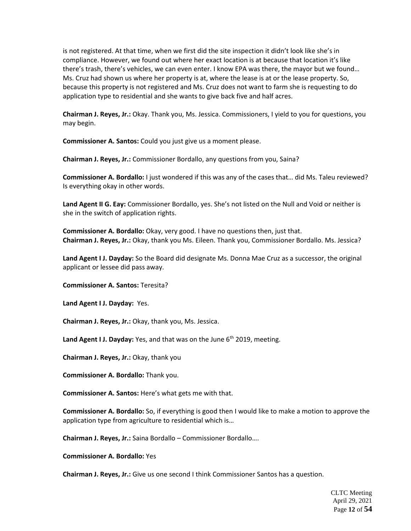is not registered. At that time, when we first did the site inspection it didn't look like she's in compliance. However, we found out where her exact location is at because that location it's like there's trash, there's vehicles, we can even enter. I know EPA was there, the mayor but we found… Ms. Cruz had shown us where her property is at, where the lease is at or the lease property. So, because this property is not registered and Ms. Cruz does not want to farm she is requesting to do application type to residential and she wants to give back five and half acres.

**Chairman J. Reyes, Jr.:** Okay. Thank you, Ms. Jessica. Commissioners, I yield to you for questions, you may begin.

**Commissioner A. Santos:** Could you just give us a moment please.

**Chairman J. Reyes, Jr.:** Commissioner Bordallo, any questions from you, Saina?

**Commissioner A. Bordallo:** I just wondered if this was any of the cases that… did Ms. Taleu reviewed? Is everything okay in other words.

**Land Agent II G. Eay:** Commissioner Bordallo, yes. She's not listed on the Null and Void or neither is she in the switch of application rights.

**Commissioner A. Bordallo:** Okay, very good. I have no questions then, just that. **Chairman J. Reyes, Jr.:** Okay, thank you Ms. Eileen. Thank you, Commissioner Bordallo. Ms. Jessica?

**Land Agent I J. Dayday:** So the Board did designate Ms. Donna Mae Cruz as a successor, the original applicant or lessee did pass away.

**Commissioner A. Santos:** Teresita?

**Land Agent I J. Dayday:** Yes.

**Chairman J. Reyes, Jr.:** Okay, thank you, Ms. Jessica.

Land Agent I J. Dayday: Yes, and that was on the June 6<sup>th</sup> 2019, meeting.

**Chairman J. Reyes, Jr.:** Okay, thank you

**Commissioner A. Bordallo:** Thank you.

**Commissioner A. Santos:** Here's what gets me with that.

**Commissioner A. Bordallo:** So, if everything is good then I would like to make a motion to approve the application type from agriculture to residential which is…

**Chairman J. Reyes, Jr.:** Saina Bordallo – Commissioner Bordallo….

**Commissioner A. Bordallo:** Yes

**Chairman J. Reyes, Jr.:** Give us one second I think Commissioner Santos has a question.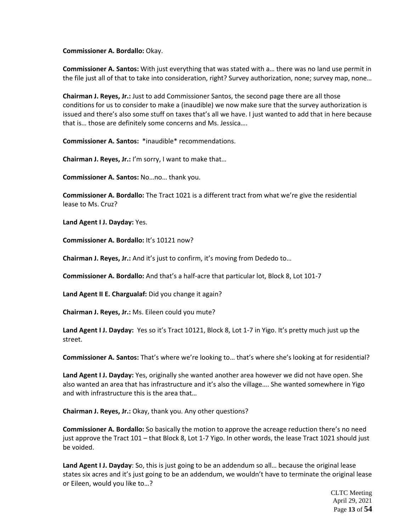# **Commissioner A. Bordallo:** Okay.

**Commissioner A. Santos:** With just everything that was stated with a… there was no land use permit in the file just all of that to take into consideration, right? Survey authorization, none; survey map, none…

**Chairman J. Reyes, Jr.:** Just to add Commissioner Santos, the second page there are all those conditions for us to consider to make a (inaudible) we now make sure that the survey authorization is issued and there's also some stuff on taxes that's all we have. I just wanted to add that in here because that is… those are definitely some concerns and Ms. Jessica….

**Commissioner A. Santos:** \*inaudible\* recommendations.

**Chairman J. Reyes, Jr.:** I'm sorry, I want to make that…

**Commissioner A. Santos:** No…no… thank you.

**Commissioner A. Bordallo:** The Tract 1021 is a different tract from what we're give the residential lease to Ms. Cruz?

**Land Agent I J. Dayday:** Yes.

**Commissioner A. Bordallo:** It's 10121 now?

**Chairman J. Reyes, Jr.:** And it's just to confirm, it's moving from Dededo to…

**Commissioner A. Bordallo:** And that's a half-acre that particular lot, Block 8, Lot 101-7

**Land Agent II E. Chargualaf:** Did you change it again?

**Chairman J. Reyes, Jr.:** Ms. Eileen could you mute?

**Land Agent I J. Dayday:** Yes so it's Tract 10121, Block 8, Lot 1-7 in Yigo. It's pretty much just up the street.

**Commissioner A. Santos:** That's where we're looking to… that's where she's looking at for residential?

**Land Agent I J. Dayday:** Yes, originally she wanted another area however we did not have open. She also wanted an area that has infrastructure and it's also the village…. She wanted somewhere in Yigo and with infrastructure this is the area that…

**Chairman J. Reyes, Jr.:** Okay, thank you. Any other questions?

**Commissioner A. Bordallo:** So basically the motion to approve the acreage reduction there's no need just approve the Tract 101 – that Block 8, Lot 1-7 Yigo. In other words, the lease Tract 1021 should just be voided.

**Land Agent I J. Dayday**: So, this is just going to be an addendum so all… because the original lease states six acres and it's just going to be an addendum, we wouldn't have to terminate the original lease or Eileen, would you like to…?

> CLTC Meeting April 29, 2021 Page **13** of **54**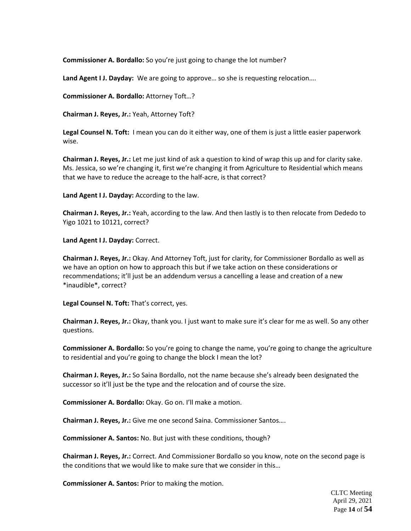**Commissioner A. Bordallo:** So you're just going to change the lot number?

**Land Agent I J. Dayday:** We are going to approve… so she is requesting relocation….

**Commissioner A. Bordallo:** Attorney Toft…?

**Chairman J. Reyes, Jr.:** Yeah, Attorney Toft?

**Legal Counsel N. Toft:** I mean you can do it either way, one of them is just a little easier paperwork wise.

**Chairman J. Reyes, Jr.:** Let me just kind of ask a question to kind of wrap this up and for clarity sake. Ms. Jessica, so we're changing it, first we're changing it from Agriculture to Residential which means that we have to reduce the acreage to the half-acre, is that correct?

**Land Agent I J. Dayday:** According to the law.

**Chairman J. Reyes, Jr.:** Yeah, according to the law. And then lastly is to then relocate from Dededo to Yigo 1021 to 10121, correct?

**Land Agent I J. Dayday:** Correct.

**Chairman J. Reyes, Jr.:** Okay. And Attorney Toft, just for clarity, for Commissioner Bordallo as well as we have an option on how to approach this but if we take action on these considerations or recommendations; it'll just be an addendum versus a cancelling a lease and creation of a new \*inaudible\*, correct?

**Legal Counsel N. Toft:** That's correct, yes.

**Chairman J. Reyes, Jr.:** Okay, thank you. I just want to make sure it's clear for me as well. So any other questions.

**Commissioner A. Bordallo:** So you're going to change the name, you're going to change the agriculture to residential and you're going to change the block I mean the lot?

**Chairman J. Reyes, Jr.:** So Saina Bordallo, not the name because she's already been designated the successor so it'll just be the type and the relocation and of course the size.

**Commissioner A. Bordallo:** Okay. Go on. I'll make a motion.

**Chairman J. Reyes, Jr.:** Give me one second Saina. Commissioner Santos….

**Commissioner A. Santos:** No. But just with these conditions, though?

**Chairman J. Reyes, Jr.:** Correct. And Commissioner Bordallo so you know, note on the second page is the conditions that we would like to make sure that we consider in this…

**Commissioner A. Santos:** Prior to making the motion.

CLTC Meeting April 29, 2021 Page **14** of **54**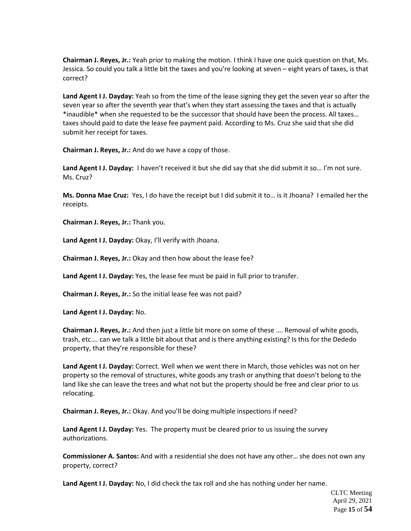**Chairman J. Reyes, Jr.:** Yeah prior to making the motion. I think I have one quick question on that, Ms. Jessica. So could you talk a little bit the taxes and you're looking at seven – eight years of taxes, is that correct?

**Land Agent I J. Dayday:** Yeah so from the time of the lease signing they get the seven year so after the seven year so after the seventh year that's when they start assessing the taxes and that is actually \*inaudible\* when she requested to be the successor that should have been the process. All taxes… taxes should paid to date the lease fee payment paid. According to Ms. Cruz she said that she did submit her receipt for taxes.

**Chairman J. Reyes, Jr.:** And do we have a copy of those.

**Land Agent I J. Dayday:** I haven't received it but she did say that she did submit it so… I'm not sure. Ms. Cruz?

**Ms. Donna Mae Cruz:** Yes, I do have the receipt but I did submit it to… is it Jhoana? I emailed her the receipts.

**Chairman J. Reyes, Jr.:** Thank you.

**Land Agent I J. Dayday:** Okay, I'll verify with Jhoana.

**Chairman J. Reyes, Jr.:** Okay and then how about the lease fee?

**Land Agent I J. Dayday:** Yes, the lease fee must be paid in full prior to transfer.

**Chairman J. Reyes, Jr.:** So the initial lease fee was not paid?

**Land Agent I J. Dayday:** No.

**Chairman J. Reyes, Jr.:** And then just a little bit more on some of these …. Removal of white goods, trash, etc…. can we talk a little bit about that and is there anything existing? Is this for the Dededo property, that they're responsible for these?

**Land Agent I J. Dayday:** Correct. Well when we went there in March, those vehicles was not on her property so the removal of structures, white goods any trash or anything that doesn't belong to the land like she can leave the trees and what not but the property should be free and clear prior to us relocating.

**Chairman J. Reyes, Jr.:** Okay. And you'll be doing multiple inspections if need?

**Land Agent I J. Dayday:** Yes. The property must be cleared prior to us issuing the survey authorizations.

**Commissioner A. Santos:** And with a residential she does not have any other… she does not own any property, correct?

**Land Agent I J. Dayday:** No, I did check the tax roll and she has nothing under her name.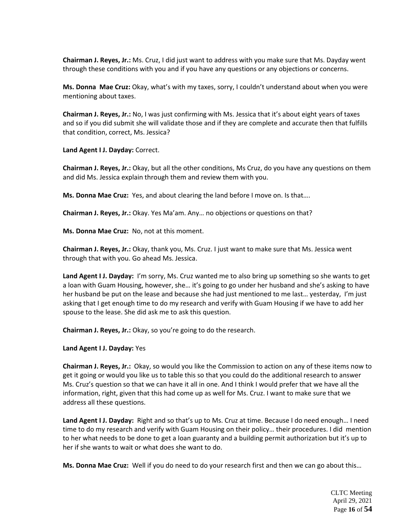**Chairman J. Reyes, Jr.:** Ms. Cruz, I did just want to address with you make sure that Ms. Dayday went through these conditions with you and if you have any questions or any objections or concerns.

**Ms. Donna Mae Cruz:** Okay, what's with my taxes, sorry, I couldn't understand about when you were mentioning about taxes.

**Chairman J. Reyes, Jr.:** No, I was just confirming with Ms. Jessica that it's about eight years of taxes and so if you did submit she will validate those and if they are complete and accurate then that fulfills that condition, correct, Ms. Jessica?

**Land Agent I J. Dayday:** Correct.

**Chairman J. Reyes, Jr.:** Okay, but all the other conditions, Ms Cruz, do you have any questions on them and did Ms. Jessica explain through them and review them with you.

**Ms. Donna Mae Cruz:** Yes, and about clearing the land before I move on. Is that….

**Chairman J. Reyes, Jr.:** Okay. Yes Ma'am. Any… no objections or questions on that?

**Ms. Donna Mae Cruz:** No, not at this moment.

**Chairman J. Reyes, Jr.:** Okay, thank you, Ms. Cruz. I just want to make sure that Ms. Jessica went through that with you. Go ahead Ms. Jessica.

**Land Agent I J. Dayday:** I'm sorry, Ms. Cruz wanted me to also bring up something so she wants to get a loan with Guam Housing, however, she… it's going to go under her husband and she's asking to have her husband be put on the lease and because she had just mentioned to me last... yesterday, I'm just asking that I get enough time to do my research and verify with Guam Housing if we have to add her spouse to the lease. She did ask me to ask this question.

**Chairman J. Reyes, Jr.:** Okay, so you're going to do the research.

**Land Agent I J. Dayday:** Yes

**Chairman J. Reyes, Jr.:** Okay, so would you like the Commission to action on any of these items now to get it going or would you like us to table this so that you could do the additional research to answer Ms. Cruz's question so that we can have it all in one. And I think I would prefer that we have all the information, right, given that this had come up as well for Ms. Cruz. I want to make sure that we address all these questions.

**Land Agent I J. Dayday:** Right and so that's up to Ms. Cruz at time. Because I do need enough… I need time to do my research and verify with Guam Housing on their policy… their procedures. I did mention to her what needs to be done to get a loan guaranty and a building permit authorization but it's up to her if she wants to wait or what does she want to do.

**Ms. Donna Mae Cruz:** Well if you do need to do your research first and then we can go about this…

CLTC Meeting April 29, 2021 Page **16** of **54**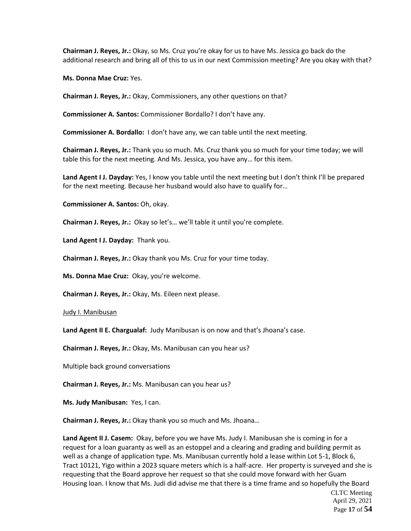**Chairman J. Reyes, Jr.:** Okay, so Ms. Cruz you're okay for us to have Ms. Jessica go back do the additional research and bring all of this to us in our next Commission meeting? Are you okay with that?

**Ms. Donna Mae Cruz:** Yes.

**Chairman J. Reyes, Jr.:** Okay, Commissioners, any other questions on that?

**Commissioner A. Santos:** Commissioner Bordallo? I don't have any.

**Commissioner A. Bordallo:** I don't have any, we can table until the next meeting.

**Chairman J. Reyes, Jr.:** Thank you so much. Ms. Cruz thank you so much for your time today; we will table this for the next meeting. And Ms. Jessica, you have any… for this item.

**Land Agent I J. Dayday:** Yes, I know you table until the next meeting but I don't think I'll be prepared for the next meeting. Because her husband would also have to qualify for…

**Commissioner A. Santos:** Oh, okay.

**Chairman J. Reyes, Jr.:** Okay so let's… we'll table it until you're complete.

**Land Agent I J. Dayday:** Thank you.

**Chairman J. Reyes, Jr.:** Okay thank you Ms. Cruz for your time today.

**Ms. Donna Mae Cruz:** Okay, you're welcome.

**Chairman J. Reyes, Jr.:** Okay, Ms. Eileen next please.

Judy I. Manibusan

**Land Agent II E. Chargualaf:** Judy Manibusan is on now and that's Jhoana's case.

**Chairman J. Reyes, Jr.:** Okay, Ms. Manibusan can you hear us?

Multiple back ground conversations

**Chairman J. Reyes, Jr.:** Ms. Manibusan can you hear us?

**Ms. Judy Manibusan:** Yes, I can.

**Chairman J. Reyes, Jr.:** Okay thank you so much and Ms. Jhoana…

**Land Agent II J. Casem:** Okay, before you we have Ms. Judy I. Manibusan she is coming in for a request for a loan guaranty as well as an estoppel and a clearing and grading and building permit as well as a change of application type. Ms. Manibusan currently hold a lease within Lot 5-1, Block 6, Tract 10121, Yigo within a 2023 square meters which is a half-acre. Her property is surveyed and she is requesting that the Board approve her request so that she could move forward with her Guam Housing loan. I know that Ms. Judi did advise me that there is a time frame and so hopefully the Board

CLTC Meeting April 29, 2021 Page **17** of **54**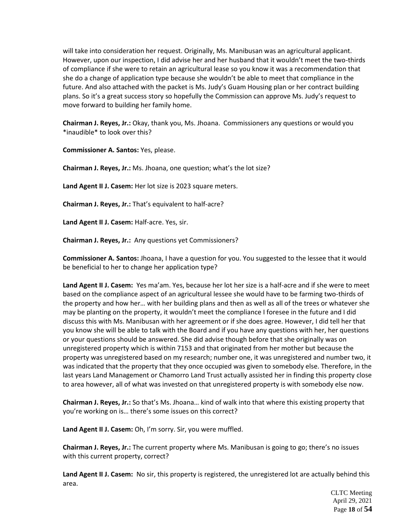will take into consideration her request. Originally, Ms. Manibusan was an agricultural applicant. However, upon our inspection, I did advise her and her husband that it wouldn't meet the two-thirds of compliance if she were to retain an agricultural lease so you know it was a recommendation that she do a change of application type because she wouldn't be able to meet that compliance in the future. And also attached with the packet is Ms. Judy's Guam Housing plan or her contract building plans. So it's a great success story so hopefully the Commission can approve Ms. Judy's request to move forward to building her family home.

**Chairman J. Reyes, Jr.:** Okay, thank you, Ms. Jhoana. Commissioners any questions or would you \*inaudible\* to look over this?

**Commissioner A. Santos:** Yes, please.

**Chairman J. Reyes, Jr.:** Ms. Jhoana, one question; what's the lot size?

**Land Agent II J. Casem:** Her lot size is 2023 square meters.

**Chairman J. Reyes, Jr.:** That's equivalent to half-acre?

**Land Agent II J. Casem:** Half-acre. Yes, sir.

**Chairman J. Reyes, Jr.:** Any questions yet Commissioners?

**Commissioner A. Santos:** Jhoana, I have a question for you. You suggested to the lessee that it would be beneficial to her to change her application type?

**Land Agent II J. Casem:** Yes ma'am. Yes, because her lot her size is a half-acre and if she were to meet based on the compliance aspect of an agricultural lessee she would have to be farming two-thirds of the property and how her… with her building plans and then as well as all of the trees or whatever she may be planting on the property, it wouldn't meet the compliance I foresee in the future and I did discuss this with Ms. Manibusan with her agreement or if she does agree. However, I did tell her that you know she will be able to talk with the Board and if you have any questions with her, her questions or your questions should be answered. She did advise though before that she originally was on unregistered property which is within 7153 and that originated from her mother but because the property was unregistered based on my research; number one, it was unregistered and number two, it was indicated that the property that they once occupied was given to somebody else. Therefore, in the last years Land Management or Chamorro Land Trust actually assisted her in finding this property close to area however, all of what was invested on that unregistered property is with somebody else now.

**Chairman J. Reyes, Jr.:** So that's Ms. Jhoana… kind of walk into that where this existing property that you're working on is… there's some issues on this correct?

**Land Agent II J. Casem:** Oh, I'm sorry. Sir, you were muffled.

**Chairman J. Reyes, Jr.:** The current property where Ms. Manibusan is going to go; there's no issues with this current property, correct?

**Land Agent II J. Casem:** No sir, this property is registered, the unregistered lot are actually behind this area.

> CLTC Meeting April 29, 2021 Page **18** of **54**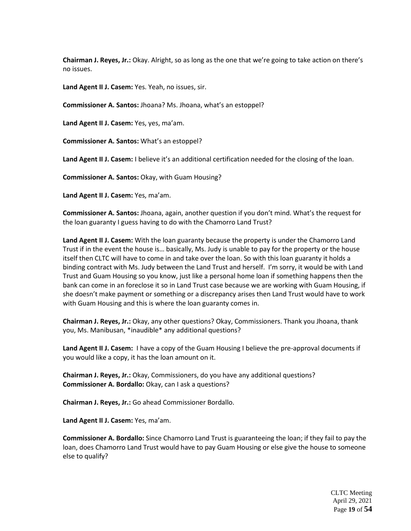**Chairman J. Reyes, Jr.:** Okay. Alright, so as long as the one that we're going to take action on there's no issues.

**Land Agent II J. Casem:** Yes. Yeah, no issues, sir.

**Commissioner A. Santos:** Jhoana? Ms. Jhoana, what's an estoppel?

**Land Agent II J. Casem:** Yes, yes, ma'am.

**Commissioner A. Santos:** What's an estoppel?

**Land Agent II J. Casem:** I believe it's an additional certification needed for the closing of the loan.

**Commissioner A. Santos:** Okay, with Guam Housing?

**Land Agent II J. Casem:** Yes, ma'am.

**Commissioner A. Santos:** Jhoana, again, another question if you don't mind. What's the request for the loan guaranty I guess having to do with the Chamorro Land Trust?

**Land Agent II J. Casem:** With the loan guaranty because the property is under the Chamorro Land Trust if in the event the house is… basically, Ms. Judy is unable to pay for the property or the house itself then CLTC will have to come in and take over the loan. So with this loan guaranty it holds a binding contract with Ms. Judy between the Land Trust and herself. I'm sorry, it would be with Land Trust and Guam Housing so you know, just like a personal home loan if something happens then the bank can come in an foreclose it so in Land Trust case because we are working with Guam Housing, if she doesn't make payment or something or a discrepancy arises then Land Trust would have to work with Guam Housing and this is where the loan guaranty comes in.

**Chairman J. Reyes, Jr.:** Okay, any other questions? Okay, Commissioners. Thank you Jhoana, thank you, Ms. Manibusan, \*inaudible\* any additional questions?

**Land Agent II J. Casem:** I have a copy of the Guam Housing I believe the pre-approval documents if you would like a copy, it has the loan amount on it.

**Chairman J. Reyes, Jr.:** Okay, Commissioners, do you have any additional questions? **Commissioner A. Bordallo:** Okay, can I ask a questions?

**Chairman J. Reyes, Jr.:** Go ahead Commissioner Bordallo.

**Land Agent II J. Casem:** Yes, ma'am.

**Commissioner A. Bordallo:** Since Chamorro Land Trust is guaranteeing the loan; if they fail to pay the loan, does Chamorro Land Trust would have to pay Guam Housing or else give the house to someone else to qualify?

> CLTC Meeting April 29, 2021 Page **19** of **54**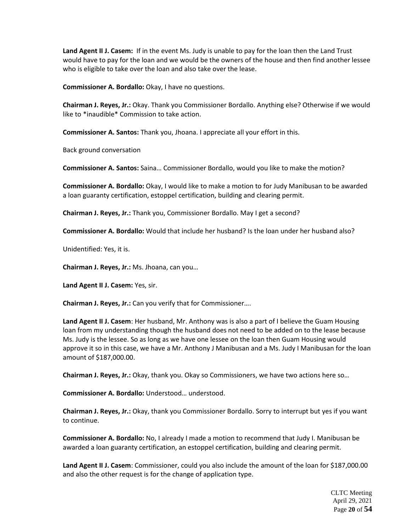**Land Agent II J. Casem:** If in the event Ms. Judy is unable to pay for the loan then the Land Trust would have to pay for the loan and we would be the owners of the house and then find another lessee who is eligible to take over the loan and also take over the lease.

**Commissioner A. Bordallo:** Okay, I have no questions.

**Chairman J. Reyes, Jr.:** Okay. Thank you Commissioner Bordallo. Anything else? Otherwise if we would like to \*inaudible\* Commission to take action.

**Commissioner A. Santos:** Thank you, Jhoana. I appreciate all your effort in this.

Back ground conversation

**Commissioner A. Santos:** Saina… Commissioner Bordallo, would you like to make the motion?

**Commissioner A. Bordallo:** Okay, I would like to make a motion to for Judy Manibusan to be awarded a loan guaranty certification, estoppel certification, building and clearing permit.

**Chairman J. Reyes, Jr.:** Thank you, Commissioner Bordallo. May I get a second?

**Commissioner A. Bordallo:** Would that include her husband? Is the loan under her husband also?

Unidentified: Yes, it is.

**Chairman J. Reyes, Jr.:** Ms. Jhoana, can you…

**Land Agent II J. Casem:** Yes, sir.

**Chairman J. Reyes, Jr.:** Can you verify that for Commissioner….

**Land Agent II J. Casem**: Her husband, Mr. Anthony was is also a part of I believe the Guam Housing loan from my understanding though the husband does not need to be added on to the lease because Ms. Judy is the lessee. So as long as we have one lessee on the loan then Guam Housing would approve it so in this case, we have a Mr. Anthony J Manibusan and a Ms. Judy I Manibusan for the loan amount of \$187,000.00.

**Chairman J. Reyes, Jr.:** Okay, thank you. Okay so Commissioners, we have two actions here so…

**Commissioner A. Bordallo:** Understood… understood.

**Chairman J. Reyes, Jr.:** Okay, thank you Commissioner Bordallo. Sorry to interrupt but yes if you want to continue.

**Commissioner A. Bordallo:** No, I already I made a motion to recommend that Judy I. Manibusan be awarded a loan guaranty certification, an estoppel certification, building and clearing permit.

**Land Agent II J. Casem**: Commissioner, could you also include the amount of the loan for \$187,000.00 and also the other request is for the change of application type.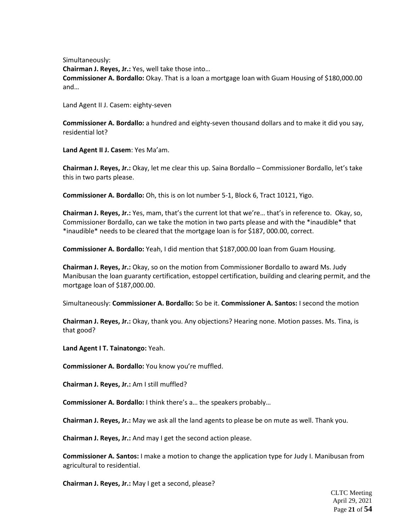Simultaneously: **Chairman J. Reyes, Jr.:** Yes, well take those into… **Commissioner A. Bordallo:** Okay. That is a loan a mortgage loan with Guam Housing of \$180,000.00 and…

Land Agent II J. Casem: eighty-seven

**Commissioner A. Bordallo:** a hundred and eighty-seven thousand dollars and to make it did you say, residential lot?

**Land Agent II J. Casem**: Yes Ma'am.

**Chairman J. Reyes, Jr.:** Okay, let me clear this up. Saina Bordallo – Commissioner Bordallo, let's take this in two parts please.

**Commissioner A. Bordallo:** Oh, this is on lot number 5-1, Block 6, Tract 10121, Yigo.

**Chairman J. Reyes, Jr.:** Yes, mam, that's the current lot that we're… that's in reference to. Okay, so, Commissioner Bordallo, can we take the motion in two parts please and with the \*inaudible\* that \*inaudible\* needs to be cleared that the mortgage loan is for \$187, 000.00, correct.

**Commissioner A. Bordallo:** Yeah, I did mention that \$187,000.00 loan from Guam Housing.

**Chairman J. Reyes, Jr.:** Okay, so on the motion from Commissioner Bordallo to award Ms. Judy Manibusan the loan guaranty certification, estoppel certification, building and clearing permit, and the mortgage loan of \$187,000.00.

Simultaneously: **Commissioner A. Bordallo:** So be it. **Commissioner A. Santos:** I second the motion

**Chairman J. Reyes, Jr.:** Okay, thank you. Any objections? Hearing none. Motion passes. Ms. Tina, is that good?

**Land Agent I T. Tainatongo:** Yeah.

**Commissioner A. Bordallo:** You know you're muffled.

**Chairman J. Reyes, Jr.:** Am I still muffled?

**Commissioner A. Bordallo:** I think there's a… the speakers probably…

**Chairman J. Reyes, Jr.:** May we ask all the land agents to please be on mute as well. Thank you.

**Chairman J. Reyes, Jr.:** And may I get the second action please.

**Commissioner A. Santos:** I make a motion to change the application type for Judy I. Manibusan from agricultural to residential.

**Chairman J. Reyes, Jr.:** May I get a second, please?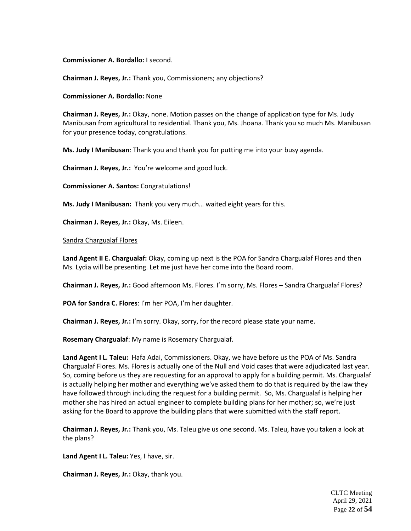**Commissioner A. Bordallo:** I second.

**Chairman J. Reyes, Jr.:** Thank you, Commissioners; any objections?

**Commissioner A. Bordallo:** None

**Chairman J. Reyes, Jr.:** Okay, none. Motion passes on the change of application type for Ms. Judy Manibusan from agricultural to residential. Thank you, Ms. Jhoana. Thank you so much Ms. Manibusan for your presence today, congratulations.

**Ms. Judy I Manibusan**: Thank you and thank you for putting me into your busy agenda.

**Chairman J. Reyes, Jr.:** You're welcome and good luck.

**Commissioner A. Santos:** Congratulations!

**Ms. Judy I Manibusan:** Thank you very much… waited eight years for this.

**Chairman J. Reyes, Jr.:** Okay, Ms. Eileen.

#### Sandra Chargualaf Flores

**Land Agent II E. Chargualaf:** Okay, coming up next is the POA for Sandra Chargualaf Flores and then Ms. Lydia will be presenting. Let me just have her come into the Board room.

**Chairman J. Reyes, Jr.:** Good afternoon Ms. Flores. I'm sorry, Ms. Flores – Sandra Chargualaf Flores?

**POA for Sandra C. Flores**: I'm her POA, I'm her daughter.

**Chairman J. Reyes, Jr.:** I'm sorry. Okay, sorry, for the record please state your name.

**Rosemary Chargualaf**: My name is Rosemary Chargualaf.

**Land Agent I L. Taleu:** Hafa Adai, Commissioners. Okay, we have before us the POA of Ms. Sandra Chargualaf Flores. Ms. Flores is actually one of the Null and Void cases that were adjudicated last year. So, coming before us they are requesting for an approval to apply for a building permit. Ms. Chargualaf is actually helping her mother and everything we've asked them to do that is required by the law they have followed through including the request for a building permit. So, Ms. Chargualaf is helping her mother she has hired an actual engineer to complete building plans for her mother; so, we're just asking for the Board to approve the building plans that were submitted with the staff report.

**Chairman J. Reyes, Jr.:** Thank you, Ms. Taleu give us one second. Ms. Taleu, have you taken a look at the plans?

**Land Agent I L. Taleu:** Yes, I have, sir.

**Chairman J. Reyes, Jr.:** Okay, thank you.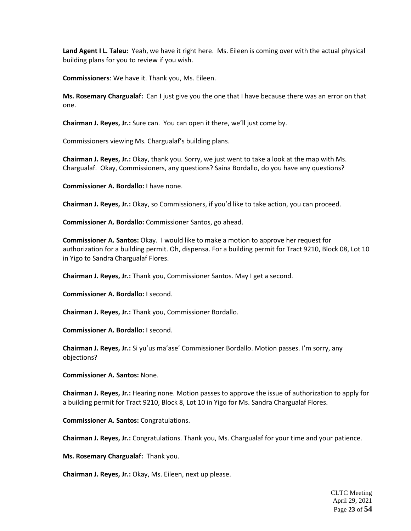**Land Agent I L. Taleu:** Yeah, we have it right here. Ms. Eileen is coming over with the actual physical building plans for you to review if you wish.

**Commissioners**: We have it. Thank you, Ms. Eileen.

**Ms. Rosemary Chargualaf:** Can I just give you the one that I have because there was an error on that one.

**Chairman J. Reyes, Jr.:** Sure can. You can open it there, we'll just come by.

Commissioners viewing Ms. Chargualaf's building plans.

**Chairman J. Reyes, Jr.:** Okay, thank you. Sorry, we just went to take a look at the map with Ms. Chargualaf. Okay, Commissioners, any questions? Saina Bordallo, do you have any questions?

**Commissioner A. Bordallo:** I have none.

**Chairman J. Reyes, Jr.:** Okay, so Commissioners, if you'd like to take action, you can proceed.

**Commissioner A. Bordallo:** Commissioner Santos, go ahead.

**Commissioner A. Santos:** Okay. I would like to make a motion to approve her request for authorization for a building permit. Oh, dispensa. For a building permit for Tract 9210, Block 08, Lot 10 in Yigo to Sandra Chargualaf Flores.

**Chairman J. Reyes, Jr.:** Thank you, Commissioner Santos. May I get a second.

**Commissioner A. Bordallo:** I second.

**Chairman J. Reyes, Jr.:** Thank you, Commissioner Bordallo.

**Commissioner A. Bordallo:** I second.

**Chairman J. Reyes, Jr.:** Si yu'us ma'ase' Commissioner Bordallo. Motion passes. I'm sorry, any objections?

**Commissioner A. Santos:** None.

**Chairman J. Reyes, Jr.:** Hearing none. Motion passes to approve the issue of authorization to apply for a building permit for Tract 9210, Block 8, Lot 10 in Yigo for Ms. Sandra Chargualaf Flores.

**Commissioner A. Santos:** Congratulations.

**Chairman J. Reyes, Jr.:** Congratulations. Thank you, Ms. Chargualaf for your time and your patience.

**Ms. Rosemary Chargualaf:** Thank you.

**Chairman J. Reyes, Jr.:** Okay, Ms. Eileen, next up please.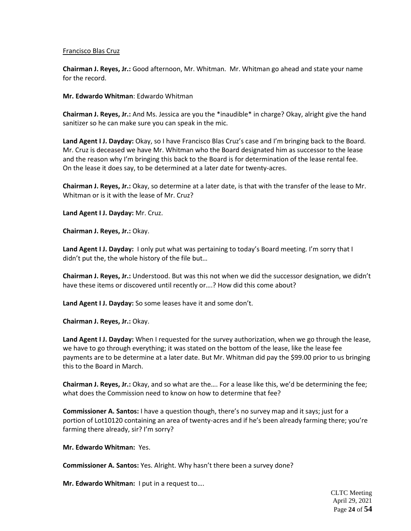# Francisco Blas Cruz

**Chairman J. Reyes, Jr.:** Good afternoon, Mr. Whitman. Mr. Whitman go ahead and state your name for the record.

**Mr. Edwardo Whitman**: Edwardo Whitman

**Chairman J. Reyes, Jr.:** And Ms. Jessica are you the \*inaudible\* in charge? Okay, alright give the hand sanitizer so he can make sure you can speak in the mic.

**Land Agent I J. Dayday:** Okay, so I have Francisco Blas Cruz's case and I'm bringing back to the Board. Mr. Cruz is deceased we have Mr. Whitman who the Board designated him as successor to the lease and the reason why I'm bringing this back to the Board is for determination of the lease rental fee. On the lease it does say, to be determined at a later date for twenty-acres.

**Chairman J. Reyes, Jr.:** Okay, so determine at a later date, is that with the transfer of the lease to Mr. Whitman or is it with the lease of Mr. Cruz?

**Land Agent I J. Dayday:** Mr. Cruz.

**Chairman J. Reyes, Jr.:** Okay.

**Land Agent I J. Dayday:** I only put what was pertaining to today's Board meeting. I'm sorry that I didn't put the, the whole history of the file but…

**Chairman J. Reyes, Jr.:** Understood. But was this not when we did the successor designation, we didn't have these items or discovered until recently or….? How did this come about?

**Land Agent I J. Dayday:** So some leases have it and some don't.

**Chairman J. Reyes, Jr.:** Okay.

**Land Agent I J. Dayday:** When I requested for the survey authorization, when we go through the lease, we have to go through everything; it was stated on the bottom of the lease, like the lease fee payments are to be determine at a later date. But Mr. Whitman did pay the \$99.00 prior to us bringing this to the Board in March.

**Chairman J. Reyes, Jr.:** Okay, and so what are the…. For a lease like this, we'd be determining the fee; what does the Commission need to know on how to determine that fee?

**Commissioner A. Santos:** I have a question though, there's no survey map and it says; just for a portion of Lot10120 containing an area of twenty-acres and if he's been already farming there; you're farming there already, sir? I'm sorry?

**Mr. Edwardo Whitman:** Yes.

**Commissioner A. Santos:** Yes. Alright. Why hasn't there been a survey done?

**Mr. Edwardo Whitman:** I put in a request to….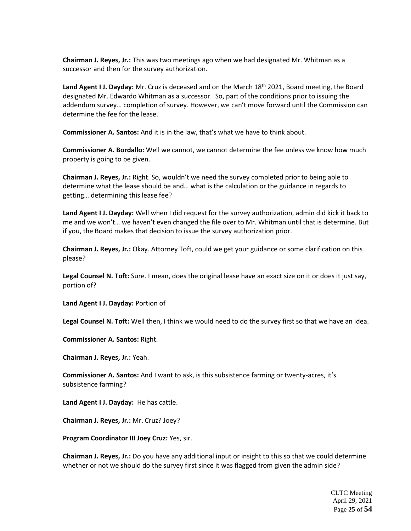**Chairman J. Reyes, Jr.:** This was two meetings ago when we had designated Mr. Whitman as a successor and then for the survey authorization.

Land Agent I J. Dayday: Mr. Cruz is deceased and on the March 18<sup>th</sup> 2021, Board meeting, the Board designated Mr. Edwardo Whitman as a successor. So, part of the conditions prior to issuing the addendum survey… completion of survey. However, we can't move forward until the Commission can determine the fee for the lease.

**Commissioner A. Santos:** And it is in the law, that's what we have to think about.

**Commissioner A. Bordallo:** Well we cannot, we cannot determine the fee unless we know how much property is going to be given.

**Chairman J. Reyes, Jr.:** Right. So, wouldn't we need the survey completed prior to being able to determine what the lease should be and… what is the calculation or the guidance in regards to getting… determining this lease fee?

**Land Agent I J. Dayday:** Well when I did request for the survey authorization, admin did kick it back to me and we won't… we haven't even changed the file over to Mr. Whitman until that is determine. But if you, the Board makes that decision to issue the survey authorization prior.

**Chairman J. Reyes, Jr.:** Okay. Attorney Toft, could we get your guidance or some clarification on this please?

**Legal Counsel N. Toft:** Sure. I mean, does the original lease have an exact size on it or does it just say, portion of?

**Land Agent I J. Dayday:** Portion of

**Legal Counsel N. Toft:** Well then, I think we would need to do the survey first so that we have an idea.

**Commissioner A. Santos:** Right.

**Chairman J. Reyes, Jr.:** Yeah.

**Commissioner A. Santos:** And I want to ask, is this subsistence farming or twenty-acres, it's subsistence farming?

**Land Agent I J. Dayday:** He has cattle.

**Chairman J. Reyes, Jr.:** Mr. Cruz? Joey?

**Program Coordinator III Joey Cruz:** Yes, sir.

**Chairman J. Reyes, Jr.:** Do you have any additional input or insight to this so that we could determine whether or not we should do the survey first since it was flagged from given the admin side?

> CLTC Meeting April 29, 2021 Page **25** of **54**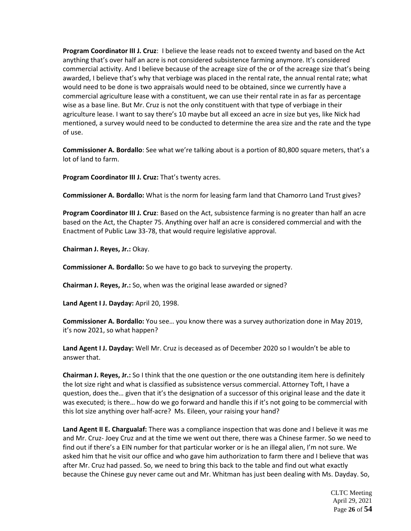**Program Coordinator III J. Cruz**: I believe the lease reads not to exceed twenty and based on the Act anything that's over half an acre is not considered subsistence farming anymore. It's considered commercial activity. And I believe because of the acreage size of the or of the acreage size that's being awarded, I believe that's why that verbiage was placed in the rental rate, the annual rental rate; what would need to be done is two appraisals would need to be obtained, since we currently have a commercial agriculture lease with a constituent, we can use their rental rate in as far as percentage wise as a base line. But Mr. Cruz is not the only constituent with that type of verbiage in their agriculture lease. I want to say there's 10 maybe but all exceed an acre in size but yes, like Nick had mentioned, a survey would need to be conducted to determine the area size and the rate and the type of use.

**Commissioner A. Bordallo**: See what we're talking about is a portion of 80,800 square meters, that's a lot of land to farm.

**Program Coordinator III J. Cruz:** That's twenty acres.

**Commissioner A. Bordallo:** What is the norm for leasing farm land that Chamorro Land Trust gives?

**Program Coordinator III J. Cruz**: Based on the Act, subsistence farming is no greater than half an acre based on the Act, the Chapter 75. Anything over half an acre is considered commercial and with the Enactment of Public Law 33-78, that would require legislative approval.

**Chairman J. Reyes, Jr.:** Okay.

**Commissioner A. Bordallo:** So we have to go back to surveying the property.

**Chairman J. Reyes, Jr.:** So, when was the original lease awarded or signed?

**Land Agent I J. Dayday:** April 20, 1998.

**Commissioner A. Bordallo:** You see… you know there was a survey authorization done in May 2019, it's now 2021, so what happen?

**Land Agent I J. Dayday:** Well Mr. Cruz is deceased as of December 2020 so I wouldn't be able to answer that.

**Chairman J. Reyes, Jr.:** So I think that the one question or the one outstanding item here is definitely the lot size right and what is classified as subsistence versus commercial. Attorney Toft, I have a question, does the… given that it's the designation of a successor of this original lease and the date it was executed; is there… how do we go forward and handle this if it's not going to be commercial with this lot size anything over half-acre? Ms. Eileen, your raising your hand?

**Land Agent II E. Chargualaf:** There was a compliance inspection that was done and I believe it was me and Mr. Cruz- Joey Cruz and at the time we went out there, there was a Chinese farmer. So we need to find out if there's a EIN number for that particular worker or is he an illegal alien, I'm not sure. We asked him that he visit our office and who gave him authorization to farm there and I believe that was after Mr. Cruz had passed. So, we need to bring this back to the table and find out what exactly because the Chinese guy never came out and Mr. Whitman has just been dealing with Ms. Dayday. So,

> CLTC Meeting April 29, 2021 Page **26** of **54**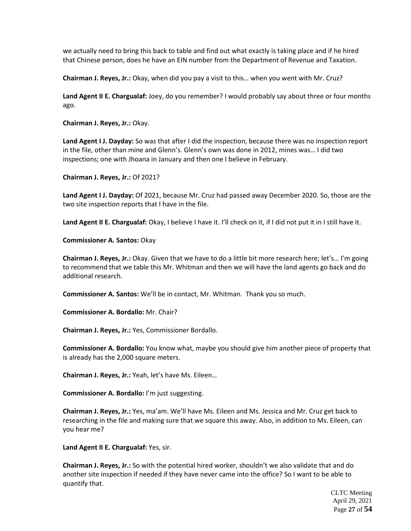we actually need to bring this back to table and find out what exactly is taking place and if he hired that Chinese person, does he have an EIN number from the Department of Revenue and Taxation.

**Chairman J. Reyes, Jr.:** Okay, when did you pay a visit to this… when you went with Mr. Cruz?

**Land Agent II E. Chargualaf:** Joey, do you remember? I would probably say about three or four months ago.

**Chairman J. Reyes, Jr.:** Okay.

**Land Agent I J. Dayday:** So was that after I did the inspection, because there was no inspection report in the file, other than mine and Glenn's. Glenn's own was done in 2012, mines was… I did two inspections; one with Jhoana in January and then one I believe in February.

**Chairman J. Reyes, Jr.:** Of 2021?

**Land Agent I J. Dayday:** Of 2021, because Mr. Cruz had passed away December 2020. So, those are the two site inspection reports that I have in the file.

**Land Agent II E. Chargualaf:** Okay, I believe I have it. I'll check on it, if I did not put it in I still have it.

**Commissioner A. Santos:** Okay

**Chairman J. Reyes, Jr.:** Okay. Given that we have to do a little bit more research here; let's… I'm going to recommend that we table this Mr. Whitman and then we will have the land agents go back and do additional research.

**Commissioner A. Santos:** We'll be in contact, Mr. Whitman. Thank you so much.

**Commissioner A. Bordallo:** Mr. Chair?

**Chairman J. Reyes, Jr.:** Yes, Commissioner Bordallo.

**Commissioner A. Bordallo:** You know what, maybe you should give him another piece of property that is already has the 2,000 square meters.

**Chairman J. Reyes, Jr.:** Yeah, let's have Ms. Eileen…

**Commissioner A. Bordallo:** I'm just suggesting.

**Chairman J. Reyes, Jr.:** Yes, ma'am. We'll have Ms. Eileen and Ms. Jessica and Mr. Cruz get back to researching in the file and making sure that we square this away. Also, in addition to Ms. Eileen, can you hear me?

**Land Agent II E. Chargualaf:** Yes, sir.

**Chairman J. Reyes, Jr.:** So with the potential hired worker, shouldn't we also validate that and do another site inspection if needed if they have never came into the office? So I want to be able to quantify that.

> CLTC Meeting April 29, 2021 Page **27** of **54**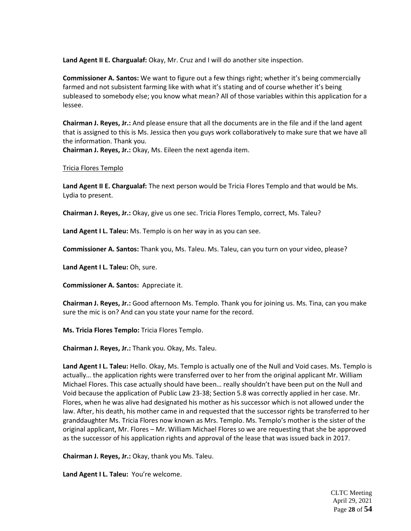**Land Agent II E. Chargualaf:** Okay, Mr. Cruz and I will do another site inspection.

**Commissioner A. Santos:** We want to figure out a few things right; whether it's being commercially farmed and not subsistent farming like with what it's stating and of course whether it's being subleased to somebody else; you know what mean? All of those variables within this application for a lessee.

**Chairman J. Reyes, Jr.:** And please ensure that all the documents are in the file and if the land agent that is assigned to this is Ms. Jessica then you guys work collaboratively to make sure that we have all the information. Thank you.

**Chairman J. Reyes, Jr.:** Okay, Ms. Eileen the next agenda item.

# Tricia Flores Templo

**Land Agent II E. Chargualaf:** The next person would be Tricia Flores Templo and that would be Ms. Lydia to present.

**Chairman J. Reyes, Jr.:** Okay, give us one sec. Tricia Flores Templo, correct, Ms. Taleu?

**Land Agent I L. Taleu:** Ms. Templo is on her way in as you can see.

**Commissioner A. Santos:** Thank you, Ms. Taleu. Ms. Taleu, can you turn on your video, please?

**Land Agent I L. Taleu:** Oh, sure.

**Commissioner A. Santos:** Appreciate it.

**Chairman J. Reyes, Jr.:** Good afternoon Ms. Templo. Thank you for joining us. Ms. Tina, can you make sure the mic is on? And can you state your name for the record.

**Ms. Tricia Flores Templo:** Tricia Flores Templo.

**Chairman J. Reyes, Jr.:** Thank you. Okay, Ms. Taleu.

**Land Agent I L. Taleu:** Hello. Okay, Ms. Templo is actually one of the Null and Void cases. Ms. Templo is actually… the application rights were transferred over to her from the original applicant Mr. William Michael Flores. This case actually should have been… really shouldn't have been put on the Null and Void because the application of Public Law 23-38; Section 5.8 was correctly applied in her case. Mr. Flores, when he was alive had designated his mother as his successor which is not allowed under the law. After, his death, his mother came in and requested that the successor rights be transferred to her granddaughter Ms. Tricia Flores now known as Mrs. Templo. Ms. Templo's mother is the sister of the original applicant, Mr. Flores – Mr. William Michael Flores so we are requesting that she be approved as the successor of his application rights and approval of the lease that was issued back in 2017.

**Chairman J. Reyes, Jr.:** Okay, thank you Ms. Taleu.

**Land Agent I L. Taleu:** You're welcome.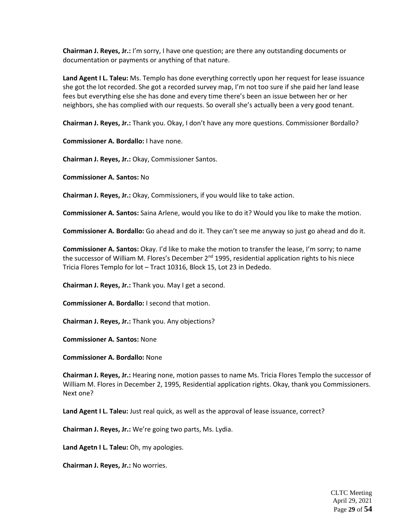**Chairman J. Reyes, Jr.:** I'm sorry, I have one question; are there any outstanding documents or documentation or payments or anything of that nature.

**Land Agent I L. Taleu:** Ms. Templo has done everything correctly upon her request for lease issuance she got the lot recorded. She got a recorded survey map, I'm not too sure if she paid her land lease fees but everything else she has done and every time there's been an issue between her or her neighbors, she has complied with our requests. So overall she's actually been a very good tenant.

**Chairman J. Reyes, Jr.:** Thank you. Okay, I don't have any more questions. Commissioner Bordallo?

**Commissioner A. Bordallo:** I have none.

**Chairman J. Reyes, Jr.:** Okay, Commissioner Santos.

**Commissioner A. Santos:** No

**Chairman J. Reyes, Jr.:** Okay, Commissioners, if you would like to take action.

**Commissioner A. Santos:** Saina Arlene, would you like to do it? Would you like to make the motion.

**Commissioner A. Bordallo:** Go ahead and do it. They can't see me anyway so just go ahead and do it.

**Commissioner A. Santos:** Okay. I'd like to make the motion to transfer the lease, I'm sorry; to name the successor of William M. Flores's December 2<sup>nd</sup> 1995, residential application rights to his niece Tricia Flores Templo for lot – Tract 10316, Block 15, Lot 23 in Dededo.

**Chairman J. Reyes, Jr.:** Thank you. May I get a second.

**Commissioner A. Bordallo:** I second that motion.

**Chairman J. Reyes, Jr.:** Thank you. Any objections?

**Commissioner A. Santos:** None

**Commissioner A. Bordallo:** None

**Chairman J. Reyes, Jr.:** Hearing none, motion passes to name Ms. Tricia Flores Templo the successor of William M. Flores in December 2, 1995, Residential application rights. Okay, thank you Commissioners. Next one?

**Land Agent I L. Taleu:** Just real quick, as well as the approval of lease issuance, correct?

**Chairman J. Reyes, Jr.:** We're going two parts, Ms. Lydia.

**Land Agetn I L. Taleu:** Oh, my apologies.

**Chairman J. Reyes, Jr.:** No worries.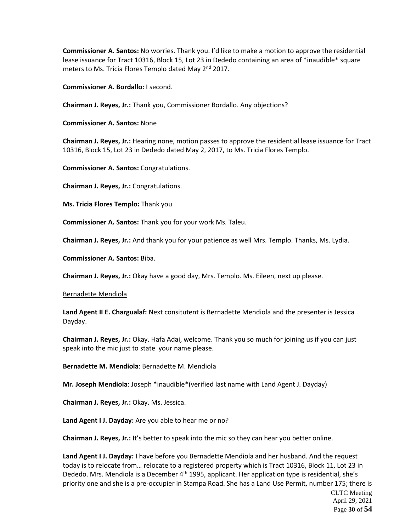**Commissioner A. Santos:** No worries. Thank you. I'd like to make a motion to approve the residential lease issuance for Tract 10316, Block 15, Lot 23 in Dededo containing an area of \*inaudible\* square meters to Ms. Tricia Flores Templo dated May 2<sup>nd</sup> 2017.

**Commissioner A. Bordallo:** I second.

**Chairman J. Reyes, Jr.:** Thank you, Commissioner Bordallo. Any objections?

**Commissioner A. Santos:** None

**Chairman J. Reyes, Jr.:** Hearing none, motion passes to approve the residential lease issuance for Tract 10316, Block 15, Lot 23 in Dededo dated May 2, 2017, to Ms. Tricia Flores Templo.

**Commissioner A. Santos:** Congratulations.

**Chairman J. Reyes, Jr.:** Congratulations.

**Ms. Tricia Flores Templo:** Thank you

**Commissioner A. Santos:** Thank you for your work Ms. Taleu.

**Chairman J. Reyes, Jr.:** And thank you for your patience as well Mrs. Templo. Thanks, Ms. Lydia.

**Commissioner A. Santos:** Biba.

**Chairman J. Reyes, Jr.:** Okay have a good day, Mrs. Templo. Ms. Eileen, next up please.

#### Bernadette Mendiola

**Land Agent II E. Chargualaf:** Next consitutent is Bernadette Mendiola and the presenter is Jessica Dayday.

**Chairman J. Reyes, Jr.:** Okay. Hafa Adai, welcome. Thank you so much for joining us if you can just speak into the mic just to state your name please.

**Bernadette M. Mendiola**: Bernadette M. Mendiola

**Mr. Joseph Mendiola**: Joseph \*inaudible\*(verified last name with Land Agent J. Dayday)

**Chairman J. Reyes, Jr.:** Okay. Ms. Jessica.

**Land Agent I J. Dayday:** Are you able to hear me or no?

**Chairman J. Reyes, Jr.:** It's better to speak into the mic so they can hear you better online.

**Land Agent I J. Dayday:** I have before you Bernadette Mendiola and her husband. And the request today is to relocate from… relocate to a registered property which is Tract 10316, Block 11, Lot 23 in Dededo. Mrs. Mendiola is a December  $4<sup>th</sup>$  1995, applicant. Her application type is residential, she's priority one and she is a pre-occupier in Stampa Road. She has a Land Use Permit, number 175; there is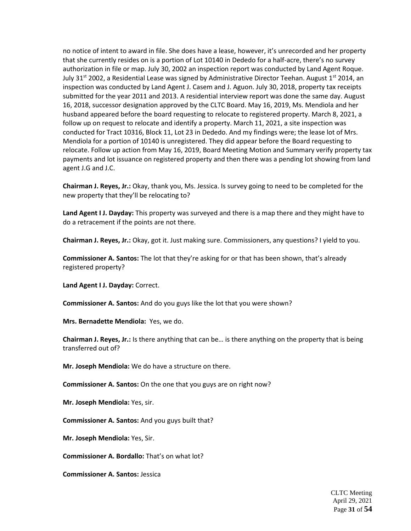no notice of intent to award in file. She does have a lease, however, it's unrecorded and her property that she currently resides on is a portion of Lot 10140 in Dededo for a half-acre, there's no survey authorization in file or map. July 30, 2002 an inspection report was conducted by Land Agent Roque. July 31<sup>st</sup> 2002, a Residential Lease was signed by Administrative Director Teehan. August 1<sup>st</sup> 2014, an inspection was conducted by Land Agent J. Casem and J. Aguon. July 30, 2018, property tax receipts submitted for the year 2011 and 2013. A residential interview report was done the same day. August 16, 2018, successor designation approved by the CLTC Board. May 16, 2019, Ms. Mendiola and her husband appeared before the board requesting to relocate to registered property. March 8, 2021, a follow up on request to relocate and identify a property. March 11, 2021, a site inspection was conducted for Tract 10316, Block 11, Lot 23 in Dededo. And my findings were; the lease lot of Mrs. Mendiola for a portion of 10140 is unregistered. They did appear before the Board requesting to relocate. Follow up action from May 16, 2019, Board Meeting Motion and Summary verify property tax payments and lot issuance on registered property and then there was a pending lot showing from land agent J.G and J.C.

**Chairman J. Reyes, Jr.:** Okay, thank you, Ms. Jessica. Is survey going to need to be completed for the new property that they'll be relocating to?

**Land Agent I J. Dayday:** This property was surveyed and there is a map there and they might have to do a retracement if the points are not there.

**Chairman J. Reyes, Jr.:** Okay, got it. Just making sure. Commissioners, any questions? I yield to you.

**Commissioner A. Santos:** The lot that they're asking for or that has been shown, that's already registered property?

**Land Agent I J. Dayday:** Correct.

**Commissioner A. Santos:** And do you guys like the lot that you were shown?

**Mrs. Bernadette Mendiola:** Yes, we do.

**Chairman J. Reyes, Jr.:** Is there anything that can be… is there anything on the property that is being transferred out of?

**Mr. Joseph Mendiola:** We do have a structure on there.

**Commissioner A. Santos:** On the one that you guys are on right now?

**Mr. Joseph Mendiola:** Yes, sir.

**Commissioner A. Santos:** And you guys built that?

**Mr. Joseph Mendiola:** Yes, Sir.

**Commissioner A. Bordallo:** That's on what lot?

**Commissioner A. Santos:** Jessica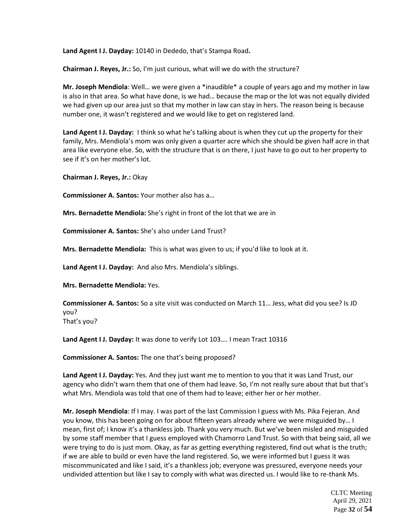**Land Agent I J. Dayday:** 10140 in Dededo, that's Stampa Road**.** 

**Chairman J. Reyes, Jr.:** So, I'm just curious, what will we do with the structure?

**Mr. Joseph Mendiola**: Well… we were given a \*inaudible\* a couple of years ago and my mother in law is also in that area. So what have done, is we had… because the map or the lot was not equally divided we had given up our area just so that my mother in law can stay in hers. The reason being is because number one, it wasn't registered and we would like to get on registered land.

**Land Agent I J. Dayday:** I think so what he's talking about is when they cut up the property for their family, Mrs. Mendiola's mom was only given a quarter acre which she should be given half acre in that area like everyone else. So, with the structure that is on there, I just have to go out to her property to see if it's on her mother's lot.

**Chairman J. Reyes, Jr.:** Okay

**Commissioner A. Santos:** Your mother also has a…

**Mrs. Bernadette Mendiola:** She's right in front of the lot that we are in

**Commissioner A. Santos:** She's also under Land Trust?

**Mrs. Bernadette Mendiola:** This is what was given to us; if you'd like to look at it.

**Land Agent I J. Dayday:** And also Mrs. Mendiola's siblings.

**Mrs. Bernadette Mendiola:** Yes.

**Commissioner A. Santos:** So a site visit was conducted on March 11… Jess, what did you see? Is JD you? That's you?

**Land Agent I J. Dayday:** It was done to verify Lot 103…. I mean Tract 10316

**Commissioner A. Santos:** The one that's being proposed?

**Land Agent I J. Dayday:** Yes. And they just want me to mention to you that it was Land Trust, our agency who didn't warn them that one of them had leave. So, I'm not really sure about that but that's what Mrs. Mendiola was told that one of them had to leave; either her or her mother.

**Mr. Joseph Mendiola**: If I may. I was part of the last Commission I guess with Ms. Pika Fejeran. And you know, this has been going on for about fifteen years already where we were misguided by… I mean, first of; I know it's a thankless job. Thank you very much. But we've been misled and misguided by some staff member that I guess employed with Chamorro Land Trust. So with that being said, all we were trying to do is just mom. Okay, as far as getting everything registered, find out what is the truth; if we are able to build or even have the land registered. So, we were informed but I guess it was miscommunicated and like I said, it's a thankless job; everyone was pressured, everyone needs your undivided attention but like I say to comply with what was directed us. I would like to re-thank Ms.

> CLTC Meeting April 29, 2021 Page **32** of **54**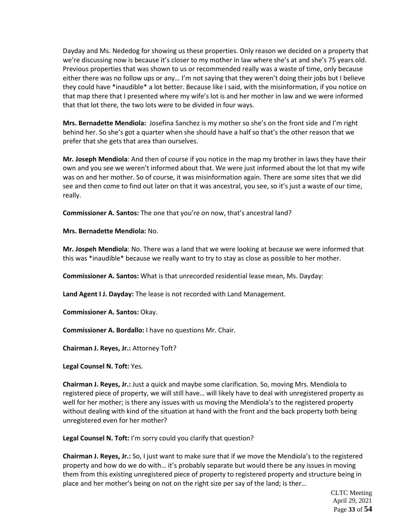Dayday and Ms. Nededog for showing us these properties. Only reason we decided on a property that we're discussing now is because it's closer to my mother in law where she's at and she's 75 years old. Previous properties that was shown to us or recommended really was a waste of time, only because either there was no follow ups or any… I'm not saying that they weren't doing their jobs but I believe they could have \*inaudible\* a lot better. Because like I said, with the misinformation, if you notice on that map there that I presented where my wife's lot is and her mother in law and we were informed that that lot there, the two lots were to be divided in four ways.

**Mrs. Bernadette Mendiola:** Josefina Sanchez is my mother so she's on the front side and I'm right behind her. So she's got a quarter when she should have a half so that's the other reason that we prefer that she gets that area than ourselves.

**Mr. Joseph Mendiola**: And then of course if you notice in the map my brother in laws they have their own and you see we weren't informed about that. We were just informed about the lot that my wife was on and her mother. So of course, it was misinformation again. There are some sites that we did see and then come to find out later on that it was ancestral, you see, so it's just a waste of our time, really.

**Commissioner A. Santos:** The one that you're on now, that's ancestral land?

**Mrs. Bernadette Mendiola:** No.

**Mr. Jospeh Mendiola**: No. There was a land that we were looking at because we were informed that this was \*inaudible\* because we really want to try to stay as close as possible to her mother.

**Commissioner A. Santos:** What is that unrecorded residential lease mean, Ms. Dayday:

**Land Agent I J. Dayday:** The lease is not recorded with Land Management.

**Commissioner A. Santos:** Okay.

**Commissioner A. Bordallo:** I have no questions Mr. Chair.

**Chairman J. Reyes, Jr.:** Attorney Toft?

**Legal Counsel N. Toft:** Yes.

**Chairman J. Reyes, Jr.:** Just a quick and maybe some clarification. So, moving Mrs. Mendiola to registered piece of property, we will still have… will likely have to deal with unregistered property as well for her mother; is there any issues with us moving the Mendiola's to the registered property without dealing with kind of the situation at hand with the front and the back property both being unregistered even for her mother?

**Legal Counsel N. Toft:** I'm sorry could you clarify that question?

**Chairman J. Reyes, Jr.:** So, I just want to make sure that if we move the Mendiola's to the registered property and how do we do with… it's probably separate but would there be any issues in moving them from this existing unregistered piece of property to registered property and structure being in place and her mother's being on not on the right size per say of the land; is ther…

> CLTC Meeting April 29, 2021 Page **33** of **54**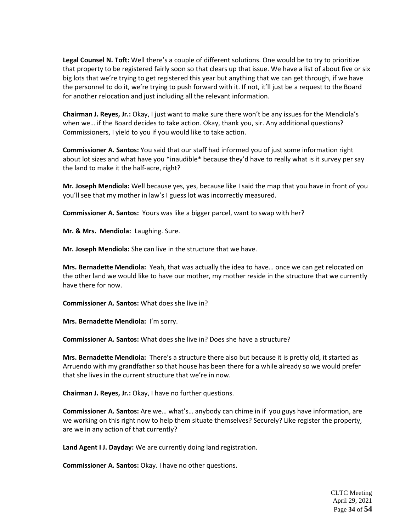**Legal Counsel N. Toft:** Well there's a couple of different solutions. One would be to try to prioritize that property to be registered fairly soon so that clears up that issue. We have a list of about five or six big lots that we're trying to get registered this year but anything that we can get through, if we have the personnel to do it, we're trying to push forward with it. If not, it'll just be a request to the Board for another relocation and just including all the relevant information.

**Chairman J. Reyes, Jr.:** Okay, I just want to make sure there won't be any issues for the Mendiola's when we… if the Board decides to take action. Okay, thank you, sir. Any additional questions? Commissioners, I yield to you if you would like to take action.

**Commissioner A. Santos:** You said that our staff had informed you of just some information right about lot sizes and what have you \*inaudible\* because they'd have to really what is it survey per say the land to make it the half-acre, right?

**Mr. Joseph Mendiola:** Well because yes, yes, because like I said the map that you have in front of you you'll see that my mother in law's I guess lot was incorrectly measured.

**Commissioner A. Santos:** Yours was like a bigger parcel, want to swap with her?

**Mr. & Mrs. Mendiola:** Laughing. Sure.

**Mr. Joseph Mendiola:** She can live in the structure that we have.

**Mrs. Bernadette Mendiola:** Yeah, that was actually the idea to have… once we can get relocated on the other land we would like to have our mother, my mother reside in the structure that we currently have there for now.

**Commissioner A. Santos:** What does she live in?

**Mrs. Bernadette Mendiola:** I'm sorry.

**Commissioner A. Santos:** What does she live in? Does she have a structure?

**Mrs. Bernadette Mendiola:** There's a structure there also but because it is pretty old, it started as Arruendo with my grandfather so that house has been there for a while already so we would prefer that she lives in the current structure that we're in now.

**Chairman J. Reyes, Jr.:** Okay, I have no further questions.

**Commissioner A. Santos:** Are we… what's… anybody can chime in if you guys have information, are we working on this right now to help them situate themselves? Securely? Like register the property, are we in any action of that currently?

**Land Agent I J. Dayday:** We are currently doing land registration.

**Commissioner A. Santos:** Okay. I have no other questions.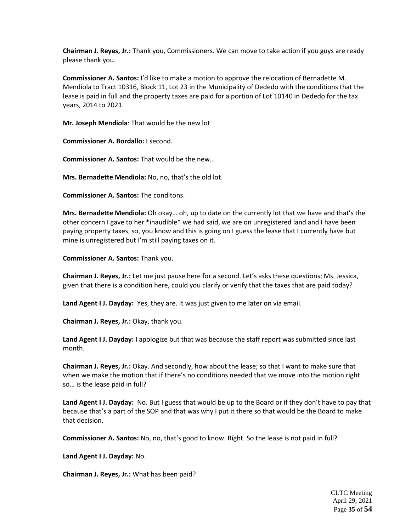**Chairman J. Reyes, Jr.:** Thank you, Commissioners. We can move to take action if you guys are ready please thank you.

**Commissioner A. Santos:** I'd like to make a motion to approve the relocation of Bernadette M. Mendiola to Tract 10316, Block 11, Lot 23 in the Municipality of Dededo with the conditions that the lease is paid in full and the property taxes are paid for a portion of Lot 10140 in Dededo for the tax years, 2014 to 2021.

**Mr. Joseph Mendiola**: That would be the new lot

**Commissioner A. Bordallo:** I second.

**Commissioner A. Santos:** That would be the new…

**Mrs. Bernadette Mendiola:** No, no, that's the old lot.

**Commissioner A. Santos:** The conditons.

**Mrs. Bernadette Mendiola:** Oh okay… oh, up to date on the currently lot that we have and that's the other concern I gave to her \*inaudible\* we had said, we are on unregistered land and I have been paying property taxes, so, you know and this is going on I guess the lease that I currently have but mine is unregistered but I'm still paying taxes on it.

**Commissioner A. Santos:** Thank you.

**Chairman J. Reyes, Jr.:** Let me just pause here for a second. Let's asks these questions; Ms. Jessica, given that there is a condition here, could you clarify or verify that the taxes that are paid today?

**Land Agent I J. Dayday:** Yes, they are. It was just given to me later on via email.

**Chairman J. Reyes, Jr.:** Okay, thank you.

**Land Agent I J. Dayday:** I apologize but that was because the staff report was submitted since last month.

**Chairman J. Reyes, Jr.:** Okay. And secondly, how about the lease; so that I want to make sure that when we make the motion that if there's no conditions needed that we move into the motion right so… is the lease paid in full?

**Land Agent I J. Dayday:** No. But I guess that would be up to the Board or if they don't have to pay that because that's a part of the SOP and that was why I put it there so that would be the Board to make that decision.

**Commissioner A. Santos:** No, no, that's good to know. Right. So the lease is not paid in full?

**Land Agent I J. Dayday:** No.

**Chairman J. Reyes, Jr.:** What has been paid?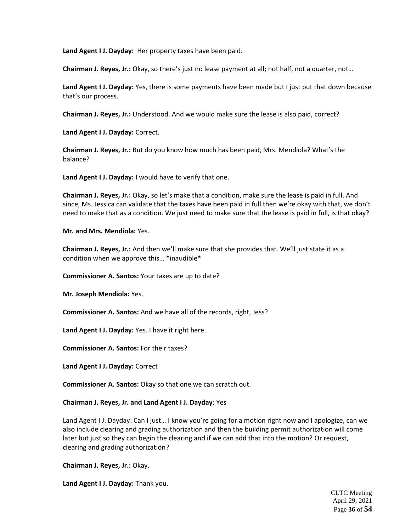**Land Agent I J. Dayday:** Her property taxes have been paid.

**Chairman J. Reyes, Jr.:** Okay, so there's just no lease payment at all; not half, not a quarter, not…

**Land Agent I J. Dayday:** Yes, there is some payments have been made but I just put that down because that's our process.

**Chairman J. Reyes, Jr.:** Understood. And we would make sure the lease is also paid, correct?

**Land Agent I J. Dayday:** Correct.

**Chairman J. Reyes, Jr.:** But do you know how much has been paid, Mrs. Mendiola? What's the balance?

**Land Agent I J. Dayday:** I would have to verify that one.

**Chairman J. Reyes, Jr.:** Okay, so let's make that a condition, make sure the lease is paid in full. And since, Ms. Jessica can validate that the taxes have been paid in full then we're okay with that, we don't need to make that as a condition. We just need to make sure that the lease is paid in full, is that okay?

**Mr. and Mrs. Mendiola:** Yes.

**Chairman J. Reyes, Jr.:** And then we'll make sure that she provides that. We'll just state it as a condition when we approve this… \*inaudible\*

**Commissioner A. Santos:** Your taxes are up to date?

**Mr. Joseph Mendiola:** Yes.

**Commissioner A. Santos:** And we have all of the records, right, Jess?

**Land Agent I J. Dayday:** Yes. I have it right here.

**Commissioner A. Santos:** For their taxes?

**Land Agent I J. Dayday:** Correct

**Commissioner A. Santos:** Okay so that one we can scratch out.

**Chairman J. Reyes, Jr. and Land Agent I J. Dayday**: Yes

Land Agent I J. Dayday: Can I just… I know you're going for a motion right now and I apologize, can we also include clearing and grading authorization and then the building permit authorization will come later but just so they can begin the clearing and if we can add that into the motion? Or request, clearing and grading authorization?

**Chairman J. Reyes, Jr.:** Okay.

**Land Agent I J. Dayday:** Thank you.

CLTC Meeting April 29, 2021 Page **36** of **54**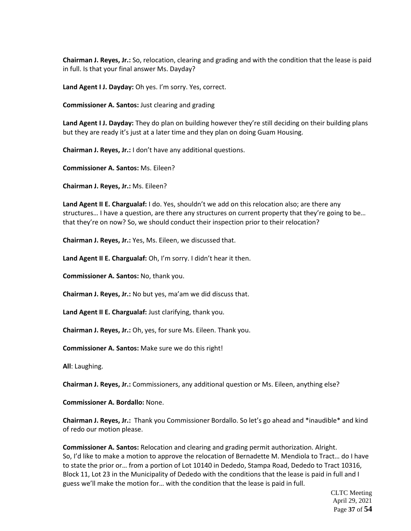**Chairman J. Reyes, Jr.:** So, relocation, clearing and grading and with the condition that the lease is paid in full. Is that your final answer Ms. Dayday?

**Land Agent I J. Dayday:** Oh yes. I'm sorry. Yes, correct.

**Commissioner A. Santos:** Just clearing and grading

**Land Agent I J. Dayday:** They do plan on building however they're still deciding on their building plans but they are ready it's just at a later time and they plan on doing Guam Housing.

**Chairman J. Reyes, Jr.:** I don't have any additional questions.

**Commissioner A. Santos:** Ms. Eileen?

**Chairman J. Reyes, Jr.:** Ms. Eileen?

**Land Agent II E. Chargualaf:** I do. Yes, shouldn't we add on this relocation also; are there any structures… I have a question, are there any structures on current property that they're going to be… that they're on now? So, we should conduct their inspection prior to their relocation?

**Chairman J. Reyes, Jr.:** Yes, Ms. Eileen, we discussed that.

**Land Agent II E. Chargualaf:** Oh, I'm sorry. I didn't hear it then.

**Commissioner A. Santos:** No, thank you.

**Chairman J. Reyes, Jr.:** No but yes, ma'am we did discuss that.

**Land Agent II E. Chargualaf:** Just clarifying, thank you.

**Chairman J. Reyes, Jr.:** Oh, yes, for sure Ms. Eileen. Thank you.

**Commissioner A. Santos:** Make sure we do this right!

**All**: Laughing.

**Chairman J. Reyes, Jr.:** Commissioners, any additional question or Ms. Eileen, anything else?

**Commissioner A. Bordallo:** None.

**Chairman J. Reyes, Jr.:** Thank you Commissioner Bordallo. So let's go ahead and \*inaudible\* and kind of redo our motion please.

**Commissioner A. Santos:** Relocation and clearing and grading permit authorization. Alright. So, I'd like to make a motion to approve the relocation of Bernadette M. Mendiola to Tract… do I have to state the prior or… from a portion of Lot 10140 in Dededo, Stampa Road, Dededo to Tract 10316, Block 11, Lot 23 in the Municipality of Dededo with the conditions that the lease is paid in full and I guess we'll make the motion for… with the condition that the lease is paid in full.

> CLTC Meeting April 29, 2021 Page **37** of **54**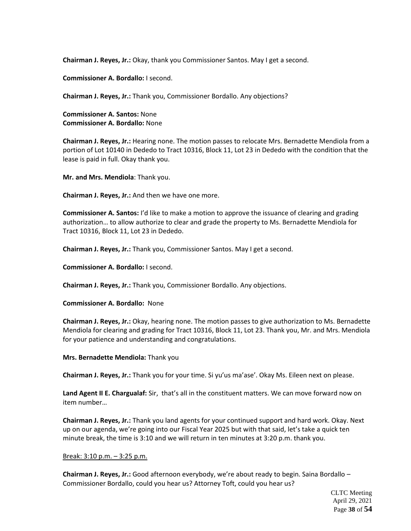**Chairman J. Reyes, Jr.:** Okay, thank you Commissioner Santos. May I get a second.

**Commissioner A. Bordallo:** I second.

**Chairman J. Reyes, Jr.:** Thank you, Commissioner Bordallo. Any objections?

**Commissioner A. Santos:** None **Commissioner A. Bordallo:** None

**Chairman J. Reyes, Jr.:** Hearing none. The motion passes to relocate Mrs. Bernadette Mendiola from a portion of Lot 10140 in Dededo to Tract 10316, Block 11, Lot 23 in Dededo with the condition that the lease is paid in full. Okay thank you.

**Mr. and Mrs. Mendiola**: Thank you.

**Chairman J. Reyes, Jr.:** And then we have one more.

**Commissioner A. Santos:** I'd like to make a motion to approve the issuance of clearing and grading authorization… to allow authorize to clear and grade the property to Ms. Bernadette Mendiola for Tract 10316, Block 11, Lot 23 in Dededo.

**Chairman J. Reyes, Jr.:** Thank you, Commissioner Santos. May I get a second.

**Commissioner A. Bordallo:** I second.

**Chairman J. Reyes, Jr.:** Thank you, Commissioner Bordallo. Any objections.

**Commissioner A. Bordallo:** None

**Chairman J. Reyes, Jr.:** Okay, hearing none. The motion passes to give authorization to Ms. Bernadette Mendiola for clearing and grading for Tract 10316, Block 11, Lot 23. Thank you, Mr. and Mrs. Mendiola for your patience and understanding and congratulations.

**Mrs. Bernadette Mendiola:** Thank you

**Chairman J. Reyes, Jr.:** Thank you for your time. Si yu'us ma'ase'. Okay Ms. Eileen next on please.

**Land Agent II E. Chargualaf:** Sir, that's all in the constituent matters. We can move forward now on item number…

**Chairman J. Reyes, Jr.:** Thank you land agents for your continued support and hard work. Okay. Next up on our agenda, we're going into our Fiscal Year 2025 but with that said, let's take a quick ten minute break, the time is 3:10 and we will return in ten minutes at 3:20 p.m. thank you.

#### Break: 3:10 p.m. – 3:25 p.m.

**Chairman J. Reyes, Jr.:** Good afternoon everybody, we're about ready to begin. Saina Bordallo – Commissioner Bordallo, could you hear us? Attorney Toft, could you hear us?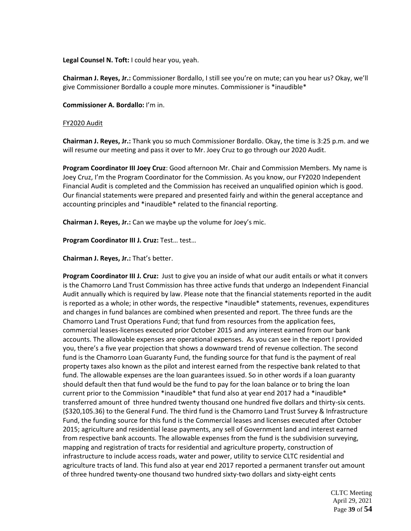**Legal Counsel N. Toft:** I could hear you, yeah.

**Chairman J. Reyes, Jr.:** Commissioner Bordallo, I still see you're on mute; can you hear us? Okay, we'll give Commissioner Bordallo a couple more minutes. Commissioner is \*inaudible\*

**Commissioner A. Bordallo:** I'm in.

# FY2020 Audit

**Chairman J. Reyes, Jr.:** Thank you so much Commissioner Bordallo. Okay, the time is 3:25 p.m. and we will resume our meeting and pass it over to Mr. Joey Cruz to go through our 2020 Audit.

**Program Coordinator III Joey Cruz**: Good afternoon Mr. Chair and Commission Members. My name is Joey Cruz, I'm the Program Coordinator for the Commission. As you know, our FY2020 Independent Financial Audit is completed and the Commission has received an unqualified opinion which is good. Our financial statements were prepared and presented fairly and within the general acceptance and accounting principles and \*inaudible\* related to the financial reporting.

**Chairman J. Reyes, Jr.:** Can we maybe up the volume for Joey's mic.

**Program Coordinator III J. Cruz:** Test… test…

**Chairman J. Reyes, Jr.:** That's better.

**Program Coordinator III J. Cruz:** Just to give you an inside of what our audit entails or what it convers is the Chamorro Land Trust Commission has three active funds that undergo an Independent Financial Audit annually which is required by law. Please note that the financial statements reported in the audit is reported as a whole; in other words, the respective \*inaudible\* statements, revenues, expenditures and changes in fund balances are combined when presented and report. The three funds are the Chamorro Land Trust Operations Fund; that fund from resources from the application fees, commercial leases-licenses executed prior October 2015 and any interest earned from our bank accounts. The allowable expenses are operational expenses. As you can see in the report I provided you, there's a five year projection that shows a downward trend of revenue collection. The second fund is the Chamorro Loan Guaranty Fund, the funding source for that fund is the payment of real property taxes also known as the pilot and interest earned from the respective bank related to that fund. The allowable expenses are the loan guarantees issued. So in other words if a loan guaranty should default then that fund would be the fund to pay for the loan balance or to bring the loan current prior to the Commission \*inaudible\* that fund also at year end 2017 had a \*inaudible\* transferred amount of three hundred twenty thousand one hundred five dollars and thirty-six cents. (\$320,105.36) to the General Fund. The third fund is the Chamorro Land Trust Survey & Infrastructure Fund, the funding source for this fund is the Commercial leases and licenses executed after October 2015; agriculture and residential lease payments, any sell of Government land and interest earned from respective bank accounts. The allowable expenses from the fund is the subdivision surveying, mapping and registration of tracts for residential and agriculture property, construction of infrastructure to include access roads, water and power, utility to service CLTC residential and agriculture tracts of land. This fund also at year end 2017 reported a permanent transfer out amount of three hundred twenty-one thousand two hundred sixty-two dollars and sixty-eight cents

> CLTC Meeting April 29, 2021 Page **39** of **54**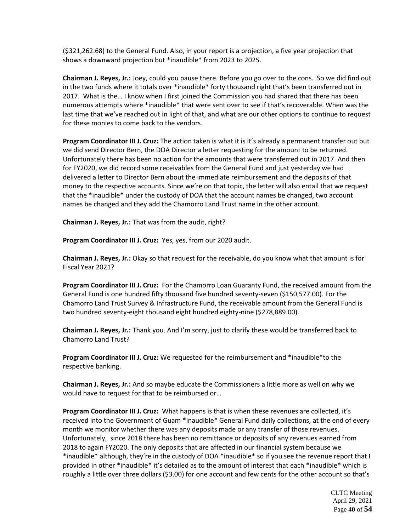(\$321,262.68) to the General Fund. Also, in your report is a projection, a five year projection that shows a downward projection but \*inaudible\* from 2023 to 2025.

**Chairman J. Reyes, Jr.:** Joey, could you pause there. Before you go over to the cons. So we did find out in the two funds where it totals over \*inaudible\* forty thousand right that's been transferred out in 2017. What is the… I know when I first joined the Commission you had shared that there has been numerous attempts where \*inaudible\* that were sent over to see if that's recoverable. When was the last time that we've reached out in light of that, and what are our other options to continue to request for these monies to come back to the vendors.

**Program Coordinator III J. Cruz:** The action taken is what it is it's already a permanent transfer out but we did send Director Bern, the DOA Director a letter requesting for the amount to be returned. Unfortunately there has been no action for the amounts that were transferred out in 2017. And then for FY2020, we did record some receivables from the General Fund and just yesterday we had delivered a letter to Director Bern about the immediate reimbursement and the deposits of that money to the respective accounts. Since we're on that topic, the letter will also entail that we request that the \*inaudible\* under the custody of DOA that the account names be changed, two account names be changed and they add the Chamorro Land Trust name in the other account.

**Chairman J. Reyes, Jr.:** That was from the audit, right?

**Program Coordinator III J. Cruz:** Yes, yes, from our 2020 audit.

**Chairman J. Reyes, Jr.:** Okay so that request for the receivable, do you know what that amount is for Fiscal Year 2021?

**Program Coordinator III J. Cruz:** For the Chamorro Loan Guaranty Fund, the received amount from the General Fund is one hundred fifty thousand five hundred seventy-seven (\$150,577.00). For the Chamorro Land Trust Survey & Infrastructure Fund, the receivable amount from the General Fund is two hundred seventy-eight thousand eight hundred eighty-nine (\$278,889.00).

**Chairman J. Reyes, Jr.:** Thank you. And I'm sorry, just to clarify these would be transferred back to Chamorro Land Trust?

**Program Coordinator III J. Cruz:** We requested for the reimbursement and \*inaudible\*to the respective banking.

**Chairman J. Reyes, Jr.:** And so maybe educate the Commissioners a little more as well on why we would have to request for that to be reimbursed or…

**Program Coordinator III J. Cruz:** What happens is that is when these revenues are collected, it's received into the Government of Guam \*inaudible\* General Fund daily collections, at the end of every month we monitor whether there was any deposits made or any transfer of those revenues. Unfortunately, since 2018 there has been no remittance or deposits of any revenues earned from 2018 to again FY2020. The only deposits that are affected in our financial system because we \*inaudible\* although, they're in the custody of DOA \*inaudible\* so if you see the revenue report that I provided in other \*inaudible\* it's detailed as to the amount of interest that each \*inaudible\* which is roughly a little over three dollars (\$3.00) for one account and few cents for the other account so that's

> CLTC Meeting April 29, 2021 Page **40** of **54**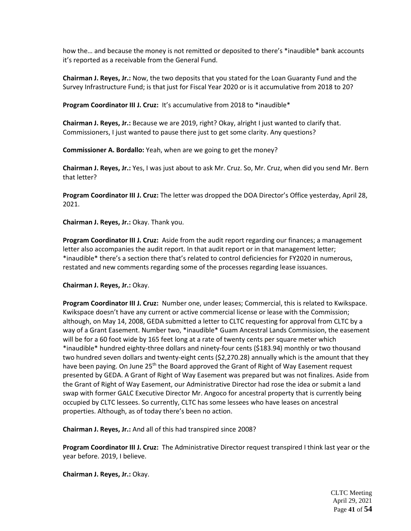how the... and because the money is not remitted or deposited to there's \*inaudible\* bank accounts it's reported as a receivable from the General Fund.

**Chairman J. Reyes, Jr.:** Now, the two deposits that you stated for the Loan Guaranty Fund and the Survey Infrastructure Fund; is that just for Fiscal Year 2020 or is it accumulative from 2018 to 20?

**Program Coordinator III J. Cruz: It's accumulative from 2018 to \*inaudible\*** 

**Chairman J. Reyes, Jr.:** Because we are 2019, right? Okay, alright I just wanted to clarify that. Commissioners, I just wanted to pause there just to get some clarity. Any questions?

**Commissioner A. Bordallo:** Yeah, when are we going to get the money?

**Chairman J. Reyes, Jr.:** Yes, I was just about to ask Mr. Cruz. So, Mr. Cruz, when did you send Mr. Bern that letter?

**Program Coordinator III J. Cruz:** The letter was dropped the DOA Director's Office yesterday, April 28, 2021.

**Chairman J. Reyes, Jr.:** Okay. Thank you.

**Program Coordinator III J. Cruz:** Aside from the audit report regarding our finances; a management letter also accompanies the audit report. In that audit report or in that management letter; \*inaudible\* there's a section there that's related to control deficiencies for FY2020 in numerous, restated and new comments regarding some of the processes regarding lease issuances.

**Chairman J. Reyes, Jr.:** Okay.

**Program Coordinator III J. Cruz:** Number one, under leases; Commercial, this is related to Kwikspace. Kwikspace doesn't have any current or active commercial license or lease with the Commission; although, on May 14, 2008, GEDA submitted a letter to CLTC requesting for approval from CLTC by a way of a Grant Easement. Number two, \*inaudible\* Guam Ancestral Lands Commission, the easement will be for a 60 foot wide by 165 feet long at a rate of twenty cents per square meter which \*inaudible\* hundred eighty-three dollars and ninety-four cents (\$183.94) monthly or two thousand two hundred seven dollars and twenty-eight cents (\$2,270.28) annually which is the amount that they have been paying. On June 25<sup>th</sup> the Board approved the Grant of Right of Way Easement request presented by GEDA. A Grant of Right of Way Easement was prepared but was not finalizes. Aside from the Grant of Right of Way Easement, our Administrative Director had rose the idea or submit a land swap with former GALC Executive Director Mr. Angoco for ancestral property that is currently being occupied by CLTC lessees. So currently, CLTC has some lessees who have leases on ancestral properties. Although, as of today there's been no action.

**Chairman J. Reyes, Jr.:** And all of this had transpired since 2008?

**Program Coordinator III J. Cruz:** The Administrative Director request transpired I think last year or the year before. 2019, I believe.

**Chairman J. Reyes, Jr.:** Okay.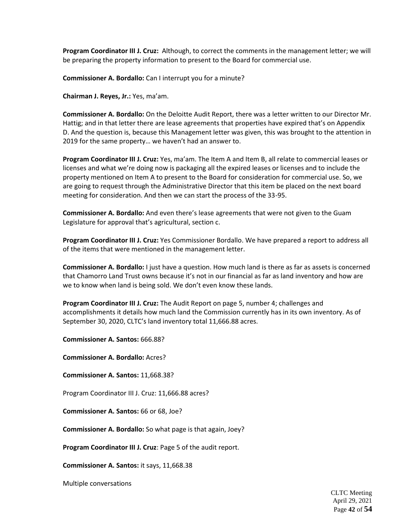**Program Coordinator III J. Cruz:** Although, to correct the comments in the management letter; we will be preparing the property information to present to the Board for commercial use.

**Commissioner A. Bordallo:** Can I interrupt you for a minute?

**Chairman J. Reyes, Jr.:** Yes, ma'am.

**Commissioner A. Bordallo:** On the Deloitte Audit Report, there was a letter written to our Director Mr. Hattig; and in that letter there are lease agreements that properties have expired that's on Appendix D. And the question is, because this Management letter was given, this was brought to the attention in 2019 for the same property… we haven't had an answer to.

**Program Coordinator III J. Cruz:** Yes, ma'am. The Item A and Item B, all relate to commercial leases or licenses and what we're doing now is packaging all the expired leases or licenses and to include the property mentioned on Item A to present to the Board for consideration for commercial use. So, we are going to request through the Administrative Director that this item be placed on the next board meeting for consideration. And then we can start the process of the 33-95.

**Commissioner A. Bordallo:** And even there's lease agreements that were not given to the Guam Legislature for approval that's agricultural, section c.

**Program Coordinator III J. Cruz:** Yes Commissioner Bordallo. We have prepared a report to address all of the items that were mentioned in the management letter.

**Commissioner A. Bordallo:** I just have a question. How much land is there as far as assets is concerned that Chamorro Land Trust owns because it's not in our financial as far as land inventory and how are we to know when land is being sold. We don't even know these lands.

**Program Coordinator III J. Cruz:** The Audit Report on page 5, number 4; challenges and accomplishments it details how much land the Commission currently has in its own inventory. As of September 30, 2020, CLTC's land inventory total 11,666.88 acres.

**Commissioner A. Santos:** 666.88?

**Commissioner A. Bordallo:** Acres?

**Commissioner A. Santos:** 11,668.38?

Program Coordinator III J. Cruz: 11,666.88 acres?

**Commissioner A. Santos:** 66 or 68, Joe?

**Commissioner A. Bordallo:** So what page is that again, Joey?

**Program Coordinator III J. Cruz**: Page 5 of the audit report.

**Commissioner A. Santos:** it says, 11,668.38

Multiple conversations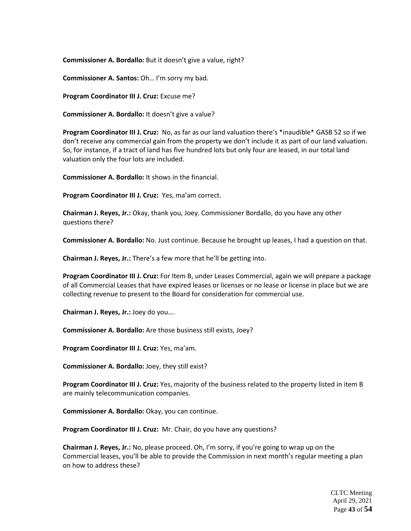**Commissioner A. Bordallo:** But it doesn't give a value, right?

**Commissioner A. Santos:** Oh… I'm sorry my bad.

**Program Coordinator III J. Cruz:** Excuse me?

**Commissioner A. Bordallo:** It doesn't give a value?

**Program Coordinator III J. Cruz:** No, as far as our land valuation there's \*inaudible\* GASB 52 so if we don't receive any commercial gain from the property we don't include it as part of our land valuation. So, for instance, if a tract of land has five hundred lots but only four are leased, in our total land valuation only the four lots are included.

**Commissioner A. Bordallo:** It shows in the financial.

**Program Coordinator III J. Cruz:** Yes, ma'am correct.

**Chairman J. Reyes, Jr.:** Okay, thank you, Joey. Commissioner Bordallo, do you have any other questions there?

**Commissioner A. Bordallo:** No. Just continue. Because he brought up leases, I had a question on that.

**Chairman J. Reyes, Jr.:** There's a few more that he'll be getting into.

**Program Coordinator III J. Cruz:** For Item B, under Leases Commercial, again we will prepare a package of all Commercial Leases that have expired leases or licenses or no lease or license in place but we are collecting revenue to present to the Board for consideration for commercial use.

**Chairman J. Reyes, Jr.:** Joey do you….

**Commissioner A. Bordallo:** Are those business still exists, Joey?

**Program Coordinator III J. Cruz:** Yes, ma'am.

**Commissioner A. Bordallo:** Joey, they still exist?

**Program Coordinator III J. Cruz:** Yes, majority of the business related to the property listed in item B are mainly telecommunication companies.

**Commissioner A. Bordallo:** Okay, you can continue.

**Program Coordinator III J. Cruz:** Mr. Chair, do you have any questions?

**Chairman J. Reyes, Jr.:** No, please proceed. Oh, I'm sorry, if you're going to wrap up on the Commercial leases, you'll be able to provide the Commission in next month's regular meeting a plan on how to address these?

> CLTC Meeting April 29, 2021 Page **43** of **54**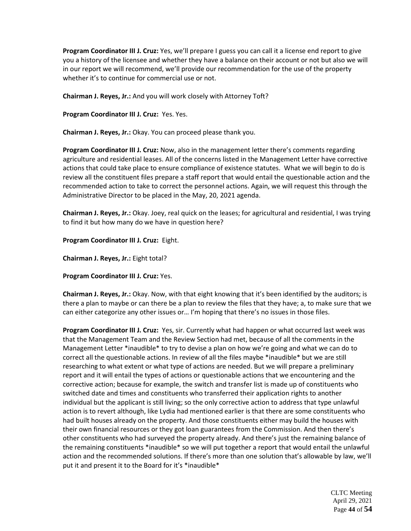**Program Coordinator III J. Cruz:** Yes, we'll prepare I guess you can call it a license end report to give you a history of the licensee and whether they have a balance on their account or not but also we will in our report we will recommend, we'll provide our recommendation for the use of the property whether it's to continue for commercial use or not.

**Chairman J. Reyes, Jr.:** And you will work closely with Attorney Toft?

**Program Coordinator III J. Cruz:** Yes. Yes.

**Chairman J. Reyes, Jr.:** Okay. You can proceed please thank you.

**Program Coordinator III J. Cruz:** Now, also in the management letter there's comments regarding agriculture and residential leases. All of the concerns listed in the Management Letter have corrective actions that could take place to ensure compliance of existence statutes. What we will begin to do is review all the constituent files prepare a staff report that would entail the questionable action and the recommended action to take to correct the personnel actions. Again, we will request this through the Administrative Director to be placed in the May, 20, 2021 agenda.

**Chairman J. Reyes, Jr.:** Okay. Joey, real quick on the leases; for agricultural and residential, I was trying to find it but how many do we have in question here?

**Program Coordinator III J. Cruz:** Eight.

**Chairman J. Reyes, Jr.:** Eight total?

**Program Coordinator III J. Cruz:** Yes.

**Chairman J. Reyes, Jr.:** Okay. Now, with that eight knowing that it's been identified by the auditors; is there a plan to maybe or can there be a plan to review the files that they have; a, to make sure that we can either categorize any other issues or… I'm hoping that there's no issues in those files.

**Program Coordinator III J. Cruz:** Yes, sir. Currently what had happen or what occurred last week was that the Management Team and the Review Section had met, because of all the comments in the Management Letter \*inaudible\* to try to devise a plan on how we're going and what we can do to correct all the questionable actions. In review of all the files maybe \*inaudible\* but we are still researching to what extent or what type of actions are needed. But we will prepare a preliminary report and it will entail the types of actions or questionable actions that we encountering and the corrective action; because for example, the switch and transfer list is made up of constituents who switched date and times and constituents who transferred their application rights to another individual but the applicant is still living; so the only corrective action to address that type unlawful action is to revert although, like Lydia had mentioned earlier is that there are some constituents who had built houses already on the property. And those constituents either may build the houses with their own financial resources or they got loan guarantees from the Commission. And then there's other constituents who had surveyed the property already. And there's just the remaining balance of the remaining constituents \*inaudible\* so we will put together a report that would entail the unlawful action and the recommended solutions. If there's more than one solution that's allowable by law, we'll put it and present it to the Board for it's \*inaudible\*

> CLTC Meeting April 29, 2021 Page **44** of **54**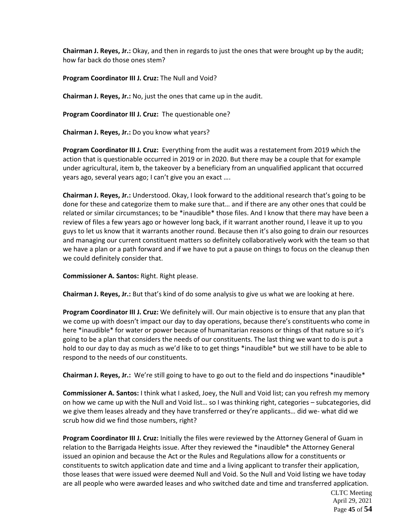**Chairman J. Reyes, Jr.:** Okay, and then in regards to just the ones that were brought up by the audit; how far back do those ones stem?

**Program Coordinator III J. Cruz:** The Null and Void?

**Chairman J. Reyes, Jr.:** No, just the ones that came up in the audit.

**Program Coordinator III J. Cruz:** The questionable one?

**Chairman J. Reyes, Jr.:** Do you know what years?

**Program Coordinator III J. Cruz:** Everything from the audit was a restatement from 2019 which the action that is questionable occurred in 2019 or in 2020. But there may be a couple that for example under agricultural, item b, the takeover by a beneficiary from an unqualified applicant that occurred years ago, several years ago; I can't give you an exact ….

**Chairman J. Reyes, Jr.:** Understood. Okay, I look forward to the additional research that's going to be done for these and categorize them to make sure that… and if there are any other ones that could be related or similar circumstances; to be \*inaudible\* those files. And I know that there may have been a review of files a few years ago or however long back, if it warrant another round, I leave it up to you guys to let us know that it warrants another round. Because then it's also going to drain our resources and managing our current constituent matters so definitely collaboratively work with the team so that we have a plan or a path forward and if we have to put a pause on things to focus on the cleanup then we could definitely consider that.

**Commissioner A. Santos:** Right. Right please.

**Chairman J. Reyes, Jr.:** But that's kind of do some analysis to give us what we are looking at here.

**Program Coordinator III J. Cruz:** We definitely will. Our main objective is to ensure that any plan that we come up with doesn't impact our day to day operations, because there's constituents who come in here \*inaudible\* for water or power because of humanitarian reasons or things of that nature so it's going to be a plan that considers the needs of our constituents. The last thing we want to do is put a hold to our day to day as much as we'd like to to get things \*inaudible\* but we still have to be able to respond to the needs of our constituents.

**Chairman J. Reyes, Jr.:** We're still going to have to go out to the field and do inspections \*inaudible\*

**Commissioner A. Santos:** I think what I asked, Joey, the Null and Void list; can you refresh my memory on how we came up with the Null and Void list… so I was thinking right, categories – subcategories, did we give them leases already and they have transferred or they're applicants… did we- what did we scrub how did we find those numbers, right?

**Program Coordinator III J. Cruz:** Initially the files were reviewed by the Attorney General of Guam in relation to the Barrigada Heights issue. After they reviewed the \*inaudible\* the Attorney General issued an opinion and because the Act or the Rules and Regulations allow for a constituents or constituents to switch application date and time and a living applicant to transfer their application, those leases that were issued were deemed Null and Void. So the Null and Void listing we have today are all people who were awarded leases and who switched date and time and transferred application.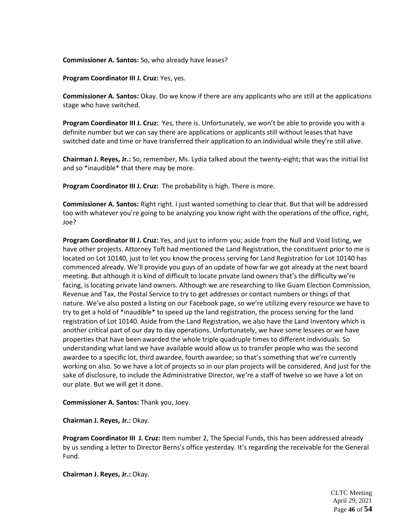### **Commissioner A. Santos:** So, who already have leases?

**Program Coordinator III J. Cruz:** Yes, yes.

**Commissioner A. Santos:** Okay. Do we know if there are any applicants who are still at the applications stage who have switched.

**Program Coordinator III J. Cruz:** Yes, there is. Unfortunately, we won't be able to provide you with a definite number but we can say there are applications or applicants still without leases that have switched date and time or have transferred their application to an individual while they're still alive.

**Chairman J. Reyes, Jr.:** So, remember, Ms. Lydia talked about the twenty-eight; that was the initial list and so \*inaudible\* that there may be more.

**Program Coordinator III J. Cruz:** The probability is high. There is more.

**Commissioner A. Santos:** Right right. I just wanted something to clear that. But that will be addressed too with whatever you're going to be analyzing you know right with the operations of the office, right, Joe?

**Program Coordinator III J. Cruz:** Yes, and just to inform you; aside from the Null and Void listing, we have other projects. Attorney Toft had mentioned the Land Registration, the constituent prior to me is located on Lot 10140, just to let you know the process serving for Land Registration for Lot 10140 has commenced already. We'll provide you guys of an update of how far we got already at the next board meeting. But although it is kind of difficult to locate private land owners that's the difficulty we're facing, is locating private land owners. Although we are researching to like Guam Election Commission, Revenue and Tax, the Postal Service to try to get addresses or contact numbers or things of that nature. We've also posted a listing on our Facebook page, so we're utilizing every resource we have to try to get a hold of \*inaudible\* to speed up the land registration, the process serving for the land registration of Lot 10140. Aside from the Land Registration, we also have the Land Inventory which is another critical part of our day to day operations. Unfortunately, we have some lessees or we have properties that have been awarded the whole triple quadruple times to different individuals. So understanding what land we have available would allow us to transfer people who was the second awardee to a specific lot, third awardee, fourth awardee; so that's something that we're currently working on also. So we have a lot of projects so in our plan projects will be considered. And just for the sake of disclosure, to include the Administrative Director, we're a staff of twelve so we have a lot on our plate. But we will get it done.

**Commissioner A. Santos:** Thank you, Joey.

**Chairman J. Reyes, Jr.:** Okay.

**Program Coordinator III J. Cruz:** Item number 2, The Special Funds, this has been addressed already by us sending a letter to Director Berns's office yesterday. It's regarding the receivable for the General Fund.

**Chairman J. Reyes, Jr.:** Okay.

CLTC Meeting April 29, 2021 Page **46** of **54**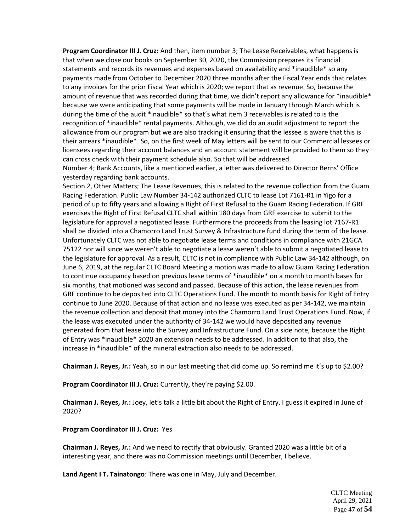**Program Coordinator III J. Cruz:** And then, item number 3; The Lease Receivables, what happens is that when we close our books on September 30, 2020, the Commission prepares its financial statements and records its revenues and expenses based on availability and \*inaudible\* so any payments made from October to December 2020 three months after the Fiscal Year ends that relates to any invoices for the prior Fiscal Year which is 2020; we report that as revenue. So, because the amount of revenue that was recorded during that time, we didn't report any allowance for \*inaudible\* because we were anticipating that some payments will be made in January through March which is during the time of the audit \*inaudible\* so that's what item 3 receivables is related to is the recognition of \*inaudible\* rental payments. Although, we did do an audit adjustment to report the allowance from our program but we are also tracking it ensuring that the lessee is aware that this is their arrears \*inaudible\*. So, on the first week of May letters will be sent to our Commercial lessees or licensees regarding their account balances and an account statement will be provided to them so they can cross check with their payment schedule also. So that will be addressed.

Number 4; Bank Accounts, like a mentioned earlier, a letter was delivered to Director Berns' Office yesterday regarding bank accounts.

Section 2, Other Matters; The Lease Revenues, this is related to the revenue collection from the Guam Racing Federation. Public Law Number 34-142 authorized CLTC to lease Lot 7161-R1 in Yigo for a period of up to fifty years and allowing a Right of First Refusal to the Guam Racing Federation. If GRF exercises the Right of First Refusal CLTC shall within 180 days from GRF exercise to submit to the legislature for approval a negotiated lease. Furthermore the proceeds from the leasing lot 7167-R1 shall be divided into a Chamorro Land Trust Survey & Infrastructure fund during the term of the lease. Unfortunately CLTC was not able to negotiate lease terms and conditions in compliance with 21GCA 75122 nor will since we weren't able to negotiate a lease weren't able to submit a negotiated lease to the legislature for approval. As a result, CLTC is not in compliance with Public Law 34-142 although, on June 6, 2019, at the regular CLTC Board Meeting a motion was made to allow Guam Racing Federation to continue occupancy based on previous lease terms of \*inaudible\* on a month to month bases for six months, that motioned was second and passed. Because of this action, the lease revenues from GRF continue to be deposited into CLTC Operations Fund. The month to month basis for Right of Entry continue to June 2020. Because of that action and no lease was executed as per 34-142, we maintain the revenue collection and deposit that money into the Chamorro Land Trust Operations Fund. Now, if the lease was executed under the authority of 34-142 we would have deposited any revenue generated from that lease into the Survey and Infrastructure Fund. On a side note, because the Right of Entry was \*inaudible\* 2020 an extension needs to be addressed. In addition to that also, the increase in \*inaudible\* of the mineral extraction also needs to be addressed.

**Chairman J. Reyes, Jr.:** Yeah, so in our last meeting that did come up. So remind me it's up to \$2.00?

**Program Coordinator III J. Cruz:** Currently, they're paying \$2.00.

**Chairman J. Reyes, Jr.:** Joey, let's talk a little bit about the Right of Entry. I guess it expired in June of 2020?

**Program Coordinator III J. Cruz:** Yes

**Chairman J. Reyes, Jr.:** And we need to rectify that obviously. Granted 2020 was a little bit of a interesting year, and there was no Commission meetings until December, I believe.

**Land Agent I T. Tainatongo**: There was one in May, July and December.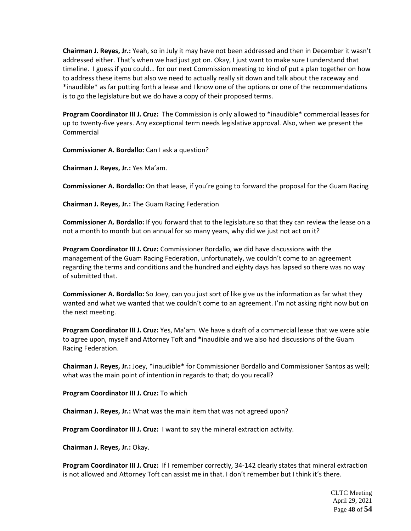**Chairman J. Reyes, Jr.:** Yeah, so in July it may have not been addressed and then in December it wasn't addressed either. That's when we had just got on. Okay, I just want to make sure I understand that timeline. I guess if you could… for our next Commission meeting to kind of put a plan together on how to address these items but also we need to actually really sit down and talk about the raceway and \*inaudible\* as far putting forth a lease and I know one of the options or one of the recommendations is to go the legislature but we do have a copy of their proposed terms.

**Program Coordinator III J. Cruz:** The Commission is only allowed to \*inaudible\* commercial leases for up to twenty-five years. Any exceptional term needs legislative approval. Also, when we present the Commercial

**Commissioner A. Bordallo:** Can I ask a question?

**Chairman J. Reyes, Jr.:** Yes Ma'am.

**Commissioner A. Bordallo:** On that lease, if you're going to forward the proposal for the Guam Racing

**Chairman J. Reyes, Jr.:** The Guam Racing Federation

**Commissioner A. Bordallo:** If you forward that to the legislature so that they can review the lease on a not a month to month but on annual for so many years, why did we just not act on it?

**Program Coordinator III J. Cruz:** Commissioner Bordallo, we did have discussions with the management of the Guam Racing Federation, unfortunately, we couldn't come to an agreement regarding the terms and conditions and the hundred and eighty days has lapsed so there was no way of submitted that.

**Commissioner A. Bordallo:** So Joey, can you just sort of like give us the information as far what they wanted and what we wanted that we couldn't come to an agreement. I'm not asking right now but on the next meeting.

**Program Coordinator III J. Cruz:** Yes, Ma'am. We have a draft of a commercial lease that we were able to agree upon, myself and Attorney Toft and \*inaudible and we also had discussions of the Guam Racing Federation.

**Chairman J. Reyes, Jr.:** Joey, \*inaudible\* for Commissioner Bordallo and Commissioner Santos as well; what was the main point of intention in regards to that; do you recall?

**Program Coordinator III J. Cruz:** To which

**Chairman J. Reyes, Jr.:** What was the main item that was not agreed upon?

**Program Coordinator III J. Cruz:** I want to say the mineral extraction activity.

**Chairman J. Reyes, Jr.:** Okay.

**Program Coordinator III J. Cruz:** If I remember correctly, 34-142 clearly states that mineral extraction is not allowed and Attorney Toft can assist me in that. I don't remember but I think it's there.

> CLTC Meeting April 29, 2021 Page **48** of **54**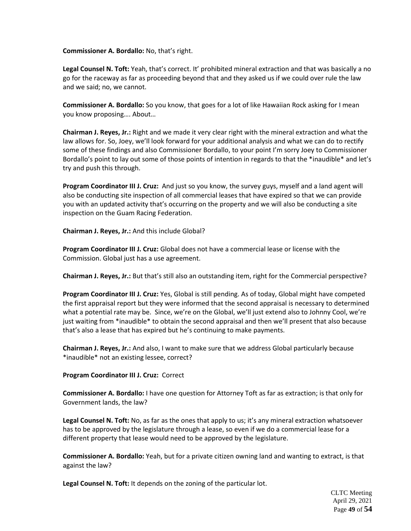# **Commissioner A. Bordallo:** No, that's right.

**Legal Counsel N. Toft:** Yeah, that's correct. It' prohibited mineral extraction and that was basically a no go for the raceway as far as proceeding beyond that and they asked us if we could over rule the law and we said; no, we cannot.

**Commissioner A. Bordallo:** So you know, that goes for a lot of like Hawaiian Rock asking for I mean you know proposing…. About…

**Chairman J. Reyes, Jr.:** Right and we made it very clear right with the mineral extraction and what the law allows for. So, Joey, we'll look forward for your additional analysis and what we can do to rectify some of these findings and also Commissioner Bordallo, to your point I'm sorry Joey to Commissioner Bordallo's point to lay out some of those points of intention in regards to that the \*inaudible\* and let's try and push this through.

**Program Coordinator III J. Cruz:** And just so you know, the survey guys, myself and a land agent will also be conducting site inspection of all commercial leases that have expired so that we can provide you with an updated activity that's occurring on the property and we will also be conducting a site inspection on the Guam Racing Federation.

**Chairman J. Reyes, Jr.:** And this include Global?

**Program Coordinator III J. Cruz:** Global does not have a commercial lease or license with the Commission. Global just has a use agreement.

**Chairman J. Reyes, Jr.:** But that's still also an outstanding item, right for the Commercial perspective?

**Program Coordinator III J. Cruz:** Yes, Global is still pending. As of today, Global might have competed the first appraisal report but they were informed that the second appraisal is necessary to determined what a potential rate may be. Since, we're on the Global, we'll just extend also to Johnny Cool, we're just waiting from \*inaudible\* to obtain the second appraisal and then we'll present that also because that's also a lease that has expired but he's continuing to make payments.

**Chairman J. Reyes, Jr.:** And also, I want to make sure that we address Global particularly because \*inaudible\* not an existing lessee, correct?

**Program Coordinator III J. Cruz:** Correct

**Commissioner A. Bordallo:** I have one question for Attorney Toft as far as extraction; is that only for Government lands, the law?

**Legal Counsel N. Toft:** No, as far as the ones that apply to us; it's any mineral extraction whatsoever has to be approved by the legislature through a lease, so even if we do a commercial lease for a different property that lease would need to be approved by the legislature.

**Commissioner A. Bordallo:** Yeah, but for a private citizen owning land and wanting to extract, is that against the law?

**Legal Counsel N. Toft:** It depends on the zoning of the particular lot.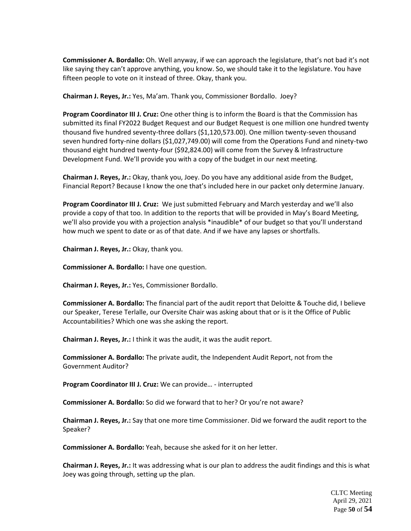**Commissioner A. Bordallo:** Oh. Well anyway, if we can approach the legislature, that's not bad it's not like saying they can't approve anything, you know. So, we should take it to the legislature. You have fifteen people to vote on it instead of three. Okay, thank you.

**Chairman J. Reyes, Jr.:** Yes, Ma'am. Thank you, Commissioner Bordallo. Joey?

**Program Coordinator III J. Cruz:** One other thing is to inform the Board is that the Commission has submitted its final FY2022 Budget Request and our Budget Request is one million one hundred twenty thousand five hundred seventy-three dollars (\$1,120,573.00). One million twenty-seven thousand seven hundred forty-nine dollars (\$1,027,749.00) will come from the Operations Fund and ninety-two thousand eight hundred twenty-four (\$92,824.00) will come from the Survey & Infrastructure Development Fund. We'll provide you with a copy of the budget in our next meeting.

**Chairman J. Reyes, Jr.:** Okay, thank you, Joey. Do you have any additional aside from the Budget, Financial Report? Because I know the one that's included here in our packet only determine January.

**Program Coordinator III J. Cruz:** We just submitted February and March yesterday and we'll also provide a copy of that too. In addition to the reports that will be provided in May's Board Meeting, we'll also provide you with a projection analysis \*inaudible\* of our budget so that you'll understand how much we spent to date or as of that date. And if we have any lapses or shortfalls.

**Chairman J. Reyes, Jr.:** Okay, thank you.

**Commissioner A. Bordallo:** I have one question.

**Chairman J. Reyes, Jr.:** Yes, Commissioner Bordallo.

**Commissioner A. Bordallo:** The financial part of the audit report that Deloitte & Touche did, I believe our Speaker, Terese Terlalle, our Oversite Chair was asking about that or is it the Office of Public Accountabilities? Which one was she asking the report.

**Chairman J. Reyes, Jr.:** I think it was the audit, it was the audit report.

**Commissioner A. Bordallo:** The private audit, the Independent Audit Report, not from the Government Auditor?

**Program Coordinator III J. Cruz:** We can provide… - interrupted

**Commissioner A. Bordallo:** So did we forward that to her? Or you're not aware?

**Chairman J. Reyes, Jr.:** Say that one more time Commissioner. Did we forward the audit report to the Speaker?

**Commissioner A. Bordallo:** Yeah, because she asked for it on her letter.

**Chairman J. Reyes, Jr.:** It was addressing what is our plan to address the audit findings and this is what Joey was going through, setting up the plan.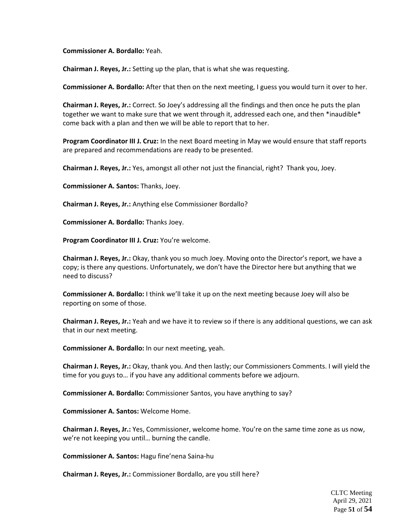**Commissioner A. Bordallo:** Yeah.

**Chairman J. Reyes, Jr.:** Setting up the plan, that is what she was requesting.

**Commissioner A. Bordallo:** After that then on the next meeting, I guess you would turn it over to her.

**Chairman J. Reyes, Jr.:** Correct. So Joey's addressing all the findings and then once he puts the plan together we want to make sure that we went through it, addressed each one, and then \*inaudible\* come back with a plan and then we will be able to report that to her.

**Program Coordinator III J. Cruz:** In the next Board meeting in May we would ensure that staff reports are prepared and recommendations are ready to be presented.

**Chairman J. Reyes, Jr.:** Yes, amongst all other not just the financial, right? Thank you, Joey.

**Commissioner A. Santos:** Thanks, Joey.

**Chairman J. Reyes, Jr.:** Anything else Commissioner Bordallo?

**Commissioner A. Bordallo:** Thanks Joey.

**Program Coordinator III J. Cruz:** You're welcome.

**Chairman J. Reyes, Jr.:** Okay, thank you so much Joey. Moving onto the Director's report, we have a copy; is there any questions. Unfortunately, we don't have the Director here but anything that we need to discuss?

**Commissioner A. Bordallo:** I think we'll take it up on the next meeting because Joey will also be reporting on some of those.

**Chairman J. Reyes, Jr.:** Yeah and we have it to review so if there is any additional questions, we can ask that in our next meeting.

**Commissioner A. Bordallo:** In our next meeting, yeah.

**Chairman J. Reyes, Jr.:** Okay, thank you. And then lastly; our Commissioners Comments. I will yield the time for you guys to… if you have any additional comments before we adjourn.

**Commissioner A. Bordallo:** Commissioner Santos, you have anything to say?

**Commissioner A. Santos:** Welcome Home.

**Chairman J. Reyes, Jr.:** Yes, Commissioner, welcome home. You're on the same time zone as us now, we're not keeping you until… burning the candle.

**Commissioner A. Santos:** Hagu fine'nena Saina-hu

**Chairman J. Reyes, Jr.:** Commissioner Bordallo, are you still here?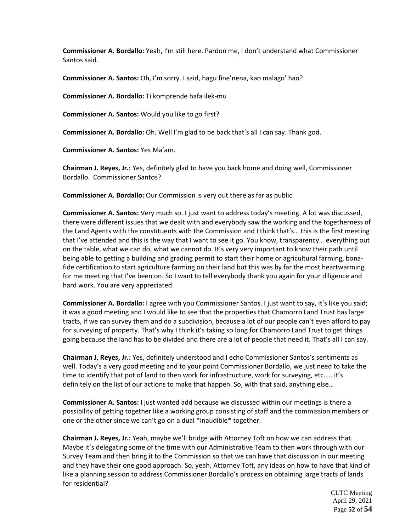**Commissioner A. Bordallo:** Yeah, I'm still here. Pardon me, I don't understand what Commissioner Santos said.

**Commissioner A. Santos:** Oh, I'm sorry. I said, hagu fine'nena, kao malago' hao?

**Commissioner A. Bordallo:** Ti komprende hafa ilek-mu

**Commissioner A. Santos:** Would you like to go first?

**Commissioner A. Bordallo:** Oh. Well I'm glad to be back that's all I can say. Thank god.

**Commissioner A. Santos:** Yes Ma'am.

**Chairman J. Reyes, Jr.:** Yes, definitely glad to have you back home and doing well, Commissioner Bordallo. Commissioner Santos?

**Commissioner A. Bordallo:** Our Commission is very out there as far as public.

**Commissioner A. Santos:** Very much so. I just want to address today's meeting. A lot was discussed, there were different issues that we dealt with and everybody saw the working and the togetherness of the Land Agents with the constituents with the Commission and I think that's… this is the first meeting that I've attended and this is the way that I want to see it go. You know, transparency… everything out on the table, what we can do, what we cannot do. It's very very important to know their path until being able to getting a building and grading permit to start their home or agricultural farming, bonafide certification to start agriculture farming on their land but this was by far the most heartwarming for me meeting that I've been on. So I want to tell everybody thank you again for your diligence and hard work. You are very appreciated.

**Commissioner A. Bordallo:** I agree with you Commissioner Santos. I just want to say, it's like you said; it was a good meeting and I would like to see that the properties that Chamorro Land Trust has large tracts, if we can survey them and do a subdivision, because a lot of our people can't even afford to pay for surveying of property. That's why I think it's taking so long for Chamorro Land Trust to get things going because the land has to be divided and there are a lot of people that need it. That's all I can say.

**Chairman J. Reyes, Jr.:** Yes, definitely understood and I echo Commissioner Santos's sentiments as well. Today's a very good meeting and to your point Commissioner Bordallo, we just need to take the time to identify that pot of land to then work for infrastructure, work for surveying, etc.…. it's definitely on the list of our actions to make that happen. So, with that said, anything else…

**Commissioner A. Santos:** I just wanted add because we discussed within our meetings is there a possibility of getting together like a working group consisting of staff and the commission members or one or the other since we can't go on a dual \*inaudible\* together.

**Chairman J. Reyes, Jr.:** Yeah, maybe we'll bridge with Attorney Toft on how we can address that. Maybe it's delegating some of the time with our Administrative Team to then work through with our Survey Team and then bring it to the Commission so that we can have that discussion in our meeting and they have their one good approach. So, yeah, Attorney Toft, any ideas on how to have that kind of like a planning session to address Commissioner Bordallo's process on obtaining large tracts of lands for residential?

> CLTC Meeting April 29, 2021 Page **52** of **54**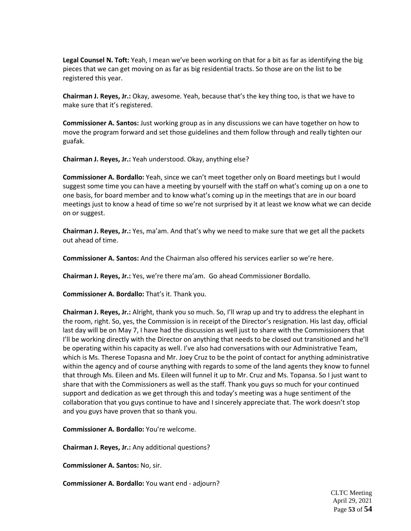**Legal Counsel N. Toft:** Yeah, I mean we've been working on that for a bit as far as identifying the big pieces that we can get moving on as far as big residential tracts. So those are on the list to be registered this year.

**Chairman J. Reyes, Jr.:** Okay, awesome. Yeah, because that's the key thing too, is that we have to make sure that it's registered.

**Commissioner A. Santos:** Just working group as in any discussions we can have together on how to move the program forward and set those guidelines and them follow through and really tighten our guafak.

**Chairman J. Reyes, Jr.:** Yeah understood. Okay, anything else?

**Commissioner A. Bordallo:** Yeah, since we can't meet together only on Board meetings but I would suggest some time you can have a meeting by yourself with the staff on what's coming up on a one to one basis, for board member and to know what's coming up in the meetings that are in our board meetings just to know a head of time so we're not surprised by it at least we know what we can decide on or suggest.

**Chairman J. Reyes, Jr.:** Yes, ma'am. And that's why we need to make sure that we get all the packets out ahead of time.

**Commissioner A. Santos:** And the Chairman also offered his services earlier so we're here.

**Chairman J. Reyes, Jr.:** Yes, we're there ma'am. Go ahead Commissioner Bordallo.

**Commissioner A. Bordallo:** That's it. Thank you.

**Chairman J. Reyes, Jr.:** Alright, thank you so much. So, I'll wrap up and try to address the elephant in the room, right. So, yes, the Commission is in receipt of the Director's resignation. His last day, official last day will be on May 7, I have had the discussion as well just to share with the Commissioners that I'll be working directly with the Director on anything that needs to be closed out transitioned and he'll be operating within his capacity as well. I've also had conversations with our Administrative Team, which is Ms. Therese Topasna and Mr. Joey Cruz to be the point of contact for anything administrative within the agency and of course anything with regards to some of the land agents they know to funnel that through Ms. Eileen and Ms. Eileen will funnel it up to Mr. Cruz and Ms. Topansa. So I just want to share that with the Commissioners as well as the staff. Thank you guys so much for your continued support and dedication as we get through this and today's meeting was a huge sentiment of the collaboration that you guys continue to have and I sincerely appreciate that. The work doesn't stop and you guys have proven that so thank you.

**Commissioner A. Bordallo:** You're welcome.

**Chairman J. Reyes, Jr.:** Any additional questions?

**Commissioner A. Santos:** No, sir.

**Commissioner A. Bordallo:** You want end - adjourn?

CLTC Meeting April 29, 2021 Page **53** of **54**